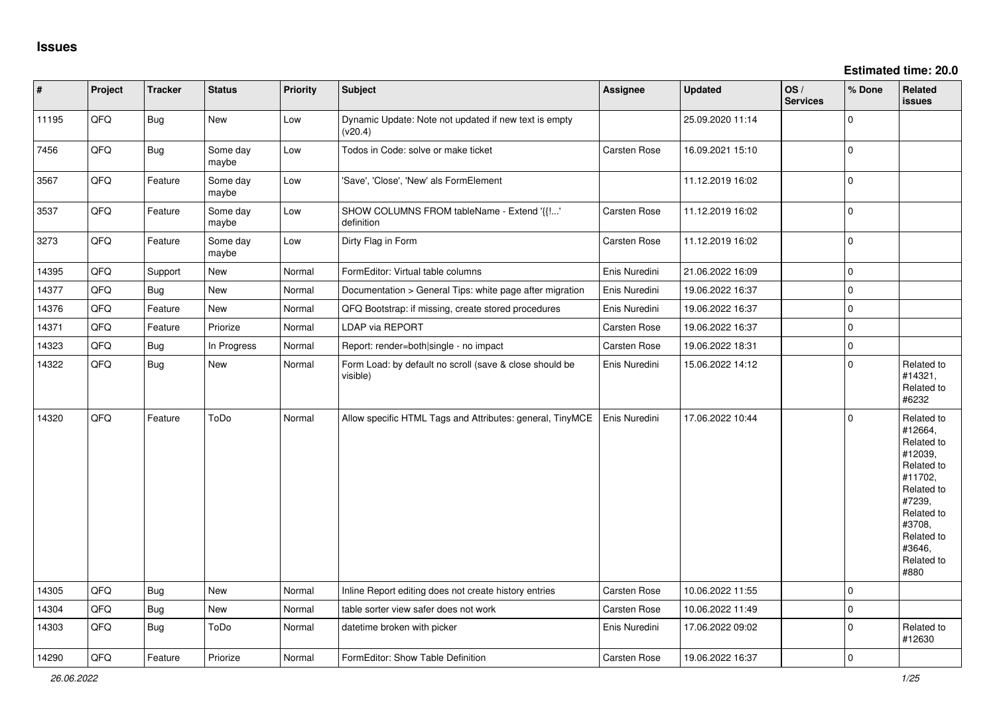| $\vert$ # | Project | <b>Tracker</b> | <b>Status</b>     | Priority | Subject                                                             | Assignee            | <b>Updated</b>   | OS/<br><b>Services</b> | % Done              | Related<br><b>issues</b>                                                                                                                                              |
|-----------|---------|----------------|-------------------|----------|---------------------------------------------------------------------|---------------------|------------------|------------------------|---------------------|-----------------------------------------------------------------------------------------------------------------------------------------------------------------------|
| 11195     | QFQ     | <b>Bug</b>     | New               | Low      | Dynamic Update: Note not updated if new text is empty<br>(v20.4)    |                     | 25.09.2020 11:14 |                        | 0                   |                                                                                                                                                                       |
| 7456      | QFQ     | <b>Bug</b>     | Some day<br>maybe | Low      | Todos in Code: solve or make ticket                                 | Carsten Rose        | 16.09.2021 15:10 |                        | $\mathbf 0$         |                                                                                                                                                                       |
| 3567      | QFQ     | Feature        | Some day<br>maybe | Low      | 'Save', 'Close', 'New' als FormElement                              |                     | 11.12.2019 16:02 |                        | $\mathbf{0}$        |                                                                                                                                                                       |
| 3537      | QFQ     | Feature        | Some dav<br>maybe | Low      | SHOW COLUMNS FROM tableName - Extend '{{!'<br>definition            | Carsten Rose        | 11.12.2019 16:02 |                        | $\mathbf 0$         |                                                                                                                                                                       |
| 3273      | QFQ     | Feature        | Some day<br>maybe | Low      | Dirty Flag in Form                                                  | Carsten Rose        | 11.12.2019 16:02 |                        | $\mathbf 0$         |                                                                                                                                                                       |
| 14395     | QFQ     | Support        | New               | Normal   | FormEditor: Virtual table columns                                   | Enis Nuredini       | 21.06.2022 16:09 |                        | $\mathsf{O}\xspace$ |                                                                                                                                                                       |
| 14377     | QFQ     | <b>Bug</b>     | New               | Normal   | Documentation > General Tips: white page after migration            | Enis Nuredini       | 19.06.2022 16:37 |                        | $\mathbf 0$         |                                                                                                                                                                       |
| 14376     | QFQ     | Feature        | New               | Normal   | QFQ Bootstrap: if missing, create stored procedures                 | Enis Nuredini       | 19.06.2022 16:37 |                        | $\mathbf 0$         |                                                                                                                                                                       |
| 14371     | QFQ     | Feature        | Priorize          | Normal   | <b>LDAP via REPORT</b>                                              | <b>Carsten Rose</b> | 19.06.2022 16:37 |                        | $\mathsf{O}\xspace$ |                                                                                                                                                                       |
| 14323     | QFQ     | <b>Bug</b>     | In Progress       | Normal   | Report: render=both single - no impact                              | Carsten Rose        | 19.06.2022 18:31 |                        | $\mathsf{O}\xspace$ |                                                                                                                                                                       |
| 14322     | QFQ     | <b>Bug</b>     | New               | Normal   | Form Load: by default no scroll (save & close should be<br>visible) | Enis Nuredini       | 15.06.2022 14:12 |                        | $\mathbf 0$         | Related to<br>#14321,<br>Related to<br>#6232                                                                                                                          |
| 14320     | QFQ     | Feature        | ToDo              | Normal   | Allow specific HTML Tags and Attributes: general, TinyMCE           | Enis Nuredini       | 17.06.2022 10:44 |                        | $\mathbf 0$         | Related to<br>#12664,<br>Related to<br>#12039,<br>Related to<br>#11702,<br>Related to<br>#7239,<br>Related to<br>#3708,<br>Related to<br>#3646,<br>Related to<br>#880 |
| 14305     | QFQ     | Bug            | New               | Normal   | Inline Report editing does not create history entries               | Carsten Rose        | 10.06.2022 11:55 |                        | $\mathbf 0$         |                                                                                                                                                                       |
| 14304     | QFQ     | <b>Bug</b>     | New               | Normal   | table sorter view safer does not work                               | Carsten Rose        | 10.06.2022 11:49 |                        | $\mathbf 0$         |                                                                                                                                                                       |
| 14303     | QFQ     | <b>Bug</b>     | ToDo              | Normal   | datetime broken with picker                                         | Enis Nuredini       | 17.06.2022 09:02 |                        | 0                   | Related to<br>#12630                                                                                                                                                  |
| 14290     | QFQ     | Feature        | Priorize          | Normal   | FormEditor: Show Table Definition                                   | <b>Carsten Rose</b> | 19.06.2022 16:37 |                        | $\mathbf 0$         |                                                                                                                                                                       |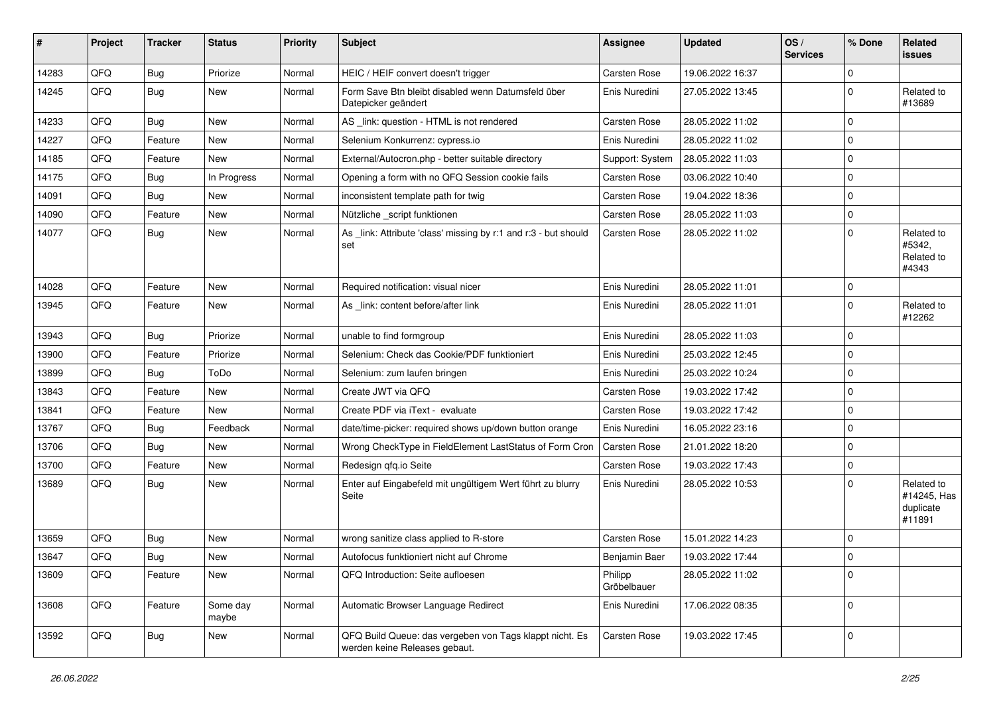| #     | Project | <b>Tracker</b> | <b>Status</b>     | <b>Priority</b> | Subject                                                                                  | <b>Assignee</b>        | <b>Updated</b>   | OS/<br><b>Services</b> | % Done      | Related<br>issues                                |
|-------|---------|----------------|-------------------|-----------------|------------------------------------------------------------------------------------------|------------------------|------------------|------------------------|-------------|--------------------------------------------------|
| 14283 | QFQ     | Bug            | Priorize          | Normal          | HEIC / HEIF convert doesn't trigger                                                      | Carsten Rose           | 19.06.2022 16:37 |                        | $\Omega$    |                                                  |
| 14245 | QFQ     | Bug            | New               | Normal          | Form Save Btn bleibt disabled wenn Datumsfeld über<br>Datepicker geändert                | Enis Nuredini          | 27.05.2022 13:45 |                        | $\Omega$    | Related to<br>#13689                             |
| 14233 | QFQ     | Bug            | New               | Normal          | AS _link: question - HTML is not rendered                                                | Carsten Rose           | 28.05.2022 11:02 |                        | $\Omega$    |                                                  |
| 14227 | QFQ     | Feature        | New               | Normal          | Selenium Konkurrenz: cypress.io                                                          | Enis Nuredini          | 28.05.2022 11:02 |                        | 0           |                                                  |
| 14185 | QFQ     | Feature        | New               | Normal          | External/Autocron.php - better suitable directory                                        | Support: System        | 28.05.2022 11:03 |                        | $\Omega$    |                                                  |
| 14175 | QFQ     | <b>Bug</b>     | In Progress       | Normal          | Opening a form with no QFQ Session cookie fails                                          | Carsten Rose           | 03.06.2022 10:40 |                        | $\mathbf 0$ |                                                  |
| 14091 | QFQ     | <b>Bug</b>     | New               | Normal          | inconsistent template path for twig                                                      | Carsten Rose           | 19.04.2022 18:36 |                        | $\Omega$    |                                                  |
| 14090 | QFQ     | Feature        | New               | Normal          | Nützliche _script funktionen                                                             | Carsten Rose           | 28.05.2022 11:03 |                        | $\mathbf 0$ |                                                  |
| 14077 | QFQ     | Bug            | New               | Normal          | As _link: Attribute 'class' missing by r:1 and r:3 - but should<br>set                   | <b>Carsten Rose</b>    | 28.05.2022 11:02 |                        | $\Omega$    | Related to<br>#5342,<br>Related to<br>#4343      |
| 14028 | QFQ     | Feature        | New               | Normal          | Required notification: visual nicer                                                      | Enis Nuredini          | 28.05.2022 11:01 |                        | $\mathbf 0$ |                                                  |
| 13945 | QFQ     | Feature        | New               | Normal          | As _link: content before/after link                                                      | Enis Nuredini          | 28.05.2022 11:01 |                        | $\mathbf 0$ | Related to<br>#12262                             |
| 13943 | QFQ     | <b>Bug</b>     | Priorize          | Normal          | unable to find formgroup                                                                 | Enis Nuredini          | 28.05.2022 11:03 |                        | $\Omega$    |                                                  |
| 13900 | QFQ     | Feature        | Priorize          | Normal          | Selenium: Check das Cookie/PDF funktioniert                                              | Enis Nuredini          | 25.03.2022 12:45 |                        | $\Omega$    |                                                  |
| 13899 | QFQ     | Bug            | ToDo              | Normal          | Selenium: zum laufen bringen                                                             | Enis Nuredini          | 25.03.2022 10:24 |                        | $\Omega$    |                                                  |
| 13843 | QFQ     | Feature        | New               | Normal          | Create JWT via QFQ                                                                       | Carsten Rose           | 19.03.2022 17:42 |                        | $\Omega$    |                                                  |
| 13841 | QFQ     | Feature        | New               | Normal          | Create PDF via iText - evaluate                                                          | Carsten Rose           | 19.03.2022 17:42 |                        | 0           |                                                  |
| 13767 | QFQ     | <b>Bug</b>     | Feedback          | Normal          | date/time-picker: required shows up/down button orange                                   | Enis Nuredini          | 16.05.2022 23:16 |                        | $\Omega$    |                                                  |
| 13706 | QFQ     | Bug            | New               | Normal          | Wrong CheckType in FieldElement LastStatus of Form Cron                                  | Carsten Rose           | 21.01.2022 18:20 |                        | $\mathbf 0$ |                                                  |
| 13700 | QFQ     | Feature        | New               | Normal          | Redesign qfq.io Seite                                                                    | Carsten Rose           | 19.03.2022 17:43 |                        | $\Omega$    |                                                  |
| 13689 | QFQ     | Bug            | New               | Normal          | Enter auf Eingabefeld mit ungültigem Wert führt zu blurry<br>Seite                       | Enis Nuredini          | 28.05.2022 10:53 |                        | U           | Related to<br>#14245, Has<br>duplicate<br>#11891 |
| 13659 | QFQ     | <b>Bug</b>     | New               | Normal          | wrong sanitize class applied to R-store                                                  | Carsten Rose           | 15.01.2022 14:23 |                        | $\Omega$    |                                                  |
| 13647 | QFQ     | <b>Bug</b>     | New               | Normal          | Autofocus funktioniert nicht auf Chrome                                                  | Benjamin Baer          | 19.03.2022 17:44 |                        | $\Omega$    |                                                  |
| 13609 | QFQ     | Feature        | New               | Normal          | QFQ Introduction: Seite aufloesen                                                        | Philipp<br>Gröbelbauer | 28.05.2022 11:02 |                        | $\mathbf 0$ |                                                  |
| 13608 | QFQ     | Feature        | Some day<br>maybe | Normal          | Automatic Browser Language Redirect                                                      | Enis Nuredini          | 17.06.2022 08:35 |                        | $\mathbf 0$ |                                                  |
| 13592 | QFQ     | <b>Bug</b>     | New               | Normal          | QFQ Build Queue: das vergeben von Tags klappt nicht. Es<br>werden keine Releases gebaut. | Carsten Rose           | 19.03.2022 17:45 |                        | $\mathbf 0$ |                                                  |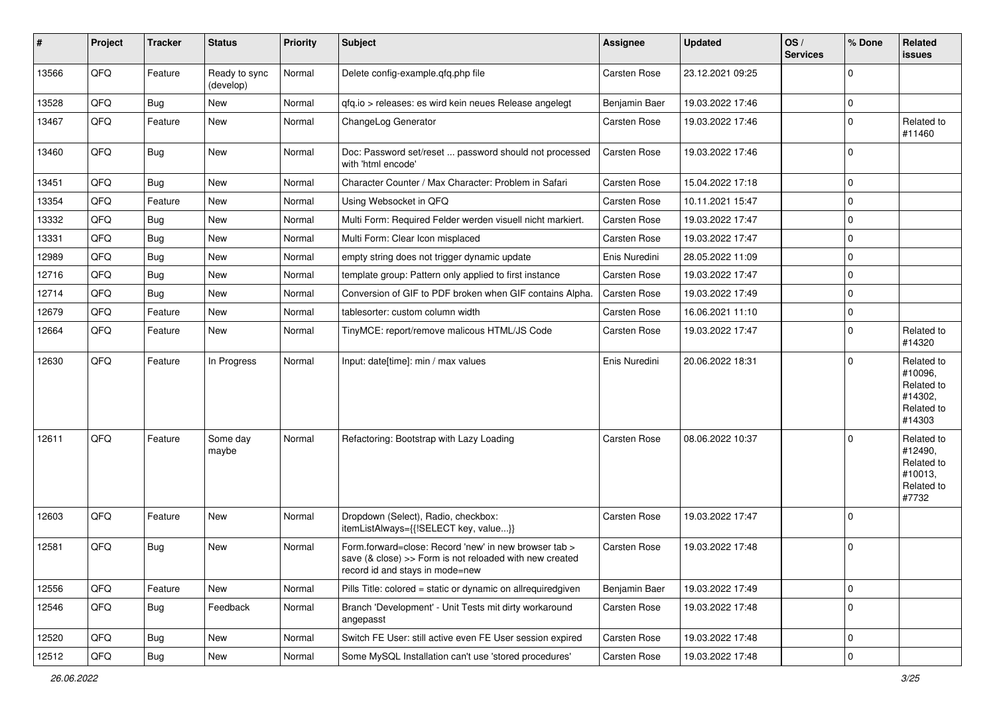| #     | Project | <b>Tracker</b> | <b>Status</b>              | <b>Priority</b> | Subject                                                                                                                                             | Assignee            | <b>Updated</b>   | OS/<br><b>Services</b> | % Done      | Related<br>issues                                                      |
|-------|---------|----------------|----------------------------|-----------------|-----------------------------------------------------------------------------------------------------------------------------------------------------|---------------------|------------------|------------------------|-------------|------------------------------------------------------------------------|
| 13566 | QFQ     | Feature        | Ready to sync<br>(develop) | Normal          | Delete config-example.qfq.php file                                                                                                                  | Carsten Rose        | 23.12.2021 09:25 |                        | $\Omega$    |                                                                        |
| 13528 | QFQ     | <b>Bug</b>     | New                        | Normal          | qfq.io > releases: es wird kein neues Release angelegt                                                                                              | Benjamin Baer       | 19.03.2022 17:46 |                        | $\mathbf 0$ |                                                                        |
| 13467 | QFQ     | Feature        | New                        | Normal          | ChangeLog Generator                                                                                                                                 | <b>Carsten Rose</b> | 19.03.2022 17:46 |                        | $\Omega$    | Related to<br>#11460                                                   |
| 13460 | QFQ     | <b>Bug</b>     | New                        | Normal          | Doc: Password set/reset  password should not processed<br>with 'html encode'                                                                        | Carsten Rose        | 19.03.2022 17:46 |                        | $\mathbf 0$ |                                                                        |
| 13451 | QFQ     | Bug            | New                        | Normal          | Character Counter / Max Character: Problem in Safari                                                                                                | Carsten Rose        | 15.04.2022 17:18 |                        | $\Omega$    |                                                                        |
| 13354 | QFQ     | Feature        | <b>New</b>                 | Normal          | Using Websocket in QFQ                                                                                                                              | <b>Carsten Rose</b> | 10.11.2021 15:47 |                        | $\mathbf 0$ |                                                                        |
| 13332 | QFQ     | <b>Bug</b>     | New                        | Normal          | Multi Form: Required Felder werden visuell nicht markiert.                                                                                          | <b>Carsten Rose</b> | 19.03.2022 17:47 |                        | $\mathbf 0$ |                                                                        |
| 13331 | QFQ     | <b>Bug</b>     | New                        | Normal          | Multi Form: Clear Icon misplaced                                                                                                                    | <b>Carsten Rose</b> | 19.03.2022 17:47 |                        | $\Omega$    |                                                                        |
| 12989 | QFQ     | <b>Bug</b>     | New                        | Normal          | empty string does not trigger dynamic update                                                                                                        | Enis Nuredini       | 28.05.2022 11:09 |                        | $\mathbf 0$ |                                                                        |
| 12716 | QFQ     | Bug            | New                        | Normal          | template group: Pattern only applied to first instance                                                                                              | Carsten Rose        | 19.03.2022 17:47 |                        | $\Omega$    |                                                                        |
| 12714 | QFQ     | Bug            | New                        | Normal          | Conversion of GIF to PDF broken when GIF contains Alpha.                                                                                            | <b>Carsten Rose</b> | 19.03.2022 17:49 |                        | $\Omega$    |                                                                        |
| 12679 | QFQ     | Feature        | New                        | Normal          | tablesorter: custom column width                                                                                                                    | <b>Carsten Rose</b> | 16.06.2021 11:10 |                        | $\mathbf 0$ |                                                                        |
| 12664 | QFQ     | Feature        | New                        | Normal          | TinyMCE: report/remove malicous HTML/JS Code                                                                                                        | <b>Carsten Rose</b> | 19.03.2022 17:47 |                        | $\Omega$    | Related to<br>#14320                                                   |
| 12630 | QFQ     | Feature        | In Progress                | Normal          | Input: date[time]: min / max values                                                                                                                 | Enis Nuredini       | 20.06.2022 18:31 |                        | $\Omega$    | Related to<br>#10096,<br>Related to<br>#14302,<br>Related to<br>#14303 |
| 12611 | QFQ     | Feature        | Some day<br>maybe          | Normal          | Refactoring: Bootstrap with Lazy Loading                                                                                                            | <b>Carsten Rose</b> | 08.06.2022 10:37 |                        | $\Omega$    | Related to<br>#12490,<br>Related to<br>#10013,<br>Related to<br>#7732  |
| 12603 | QFQ     | Feature        | New                        | Normal          | Dropdown (Select), Radio, checkbox:<br>itemListAlways={{!SELECT key, value}}                                                                        | Carsten Rose        | 19.03.2022 17:47 |                        | $\Omega$    |                                                                        |
| 12581 | QFQ     | Bug            | New                        | Normal          | Form forward=close: Record 'new' in new browser tab ><br>save (& close) >> Form is not reloaded with new created<br>record id and stays in mode=new | <b>Carsten Rose</b> | 19.03.2022 17:48 |                        | $\Omega$    |                                                                        |
| 12556 | QFQ     | Feature        | New                        | Normal          | Pills Title: colored = static or dynamic on allrequiredgiven                                                                                        | Benjamin Baer       | 19.03.2022 17:49 |                        | $\mathbf 0$ |                                                                        |
| 12546 | QFQ     | <b>Bug</b>     | Feedback                   | Normal          | Branch 'Development' - Unit Tests mit dirty workaround<br>angepasst                                                                                 | Carsten Rose        | 19.03.2022 17:48 |                        | $\mathbf 0$ |                                                                        |
| 12520 | QFQ     | <b>Bug</b>     | New                        | Normal          | Switch FE User: still active even FE User session expired                                                                                           | Carsten Rose        | 19.03.2022 17:48 |                        | 0           |                                                                        |
| 12512 | QFQ     | <b>Bug</b>     | New                        | Normal          | Some MySQL Installation can't use 'stored procedures'                                                                                               | Carsten Rose        | 19.03.2022 17:48 |                        | $\mathbf 0$ |                                                                        |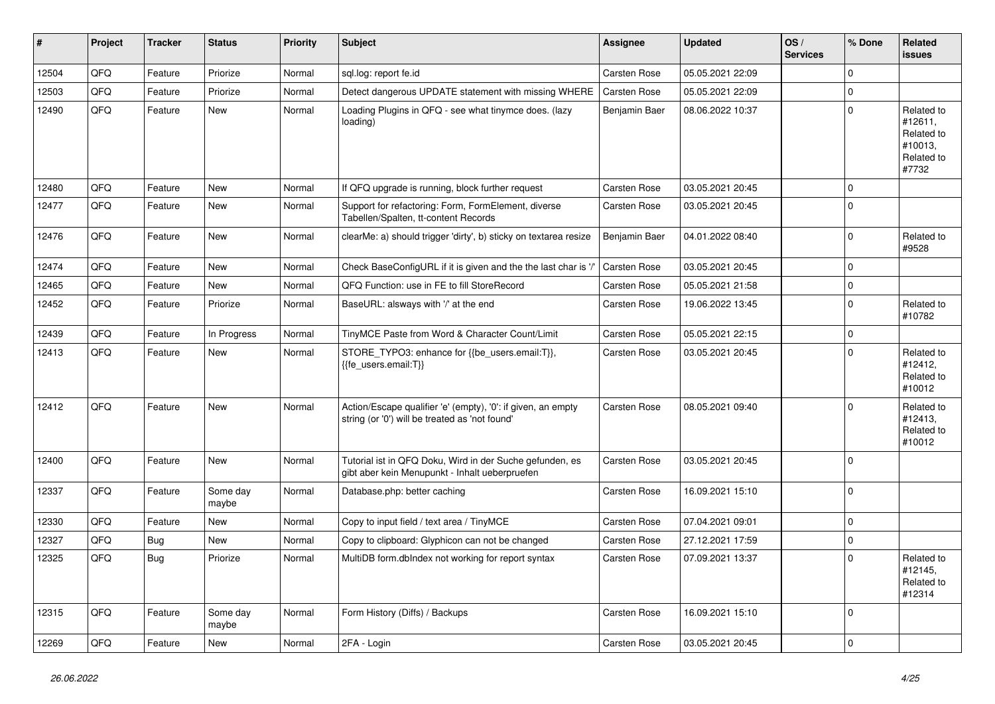| #     | Project | <b>Tracker</b> | <b>Status</b>     | <b>Priority</b> | Subject                                                                                                        | Assignee            | <b>Updated</b>   | OS/<br><b>Services</b> | % Done         | Related<br><b>issues</b>                                              |
|-------|---------|----------------|-------------------|-----------------|----------------------------------------------------------------------------------------------------------------|---------------------|------------------|------------------------|----------------|-----------------------------------------------------------------------|
| 12504 | QFQ     | Feature        | Priorize          | Normal          | sql.log: report fe.id                                                                                          | <b>Carsten Rose</b> | 05.05.2021 22:09 |                        | $\Omega$       |                                                                       |
| 12503 | QFQ     | Feature        | Priorize          | Normal          | Detect dangerous UPDATE statement with missing WHERE                                                           | <b>Carsten Rose</b> | 05.05.2021 22:09 |                        | $\mathbf 0$    |                                                                       |
| 12490 | QFQ     | Feature        | New               | Normal          | Loading Plugins in QFQ - see what tinymce does. (lazy<br>loading)                                              | Benjamin Baer       | 08.06.2022 10:37 |                        | $\Omega$       | Related to<br>#12611,<br>Related to<br>#10013,<br>Related to<br>#7732 |
| 12480 | QFQ     | Feature        | New               | Normal          | If QFQ upgrade is running, block further request                                                               | <b>Carsten Rose</b> | 03.05.2021 20:45 |                        | $\mathbf 0$    |                                                                       |
| 12477 | QFQ     | Feature        | New               | Normal          | Support for refactoring: Form, FormElement, diverse<br>Tabellen/Spalten, tt-content Records                    | <b>Carsten Rose</b> | 03.05.2021 20:45 |                        | $\Omega$       |                                                                       |
| 12476 | QFQ     | Feature        | New               | Normal          | clearMe: a) should trigger 'dirty', b) sticky on textarea resize                                               | Benjamin Baer       | 04.01.2022 08:40 |                        | $\mathbf 0$    | Related to<br>#9528                                                   |
| 12474 | QFQ     | Feature        | New               | Normal          | Check BaseConfigURL if it is given and the the last char is '/                                                 | <b>Carsten Rose</b> | 03.05.2021 20:45 |                        | $\Omega$       |                                                                       |
| 12465 | QFQ     | Feature        | New               | Normal          | QFQ Function: use in FE to fill StoreRecord                                                                    | Carsten Rose        | 05.05.2021 21:58 |                        | $\mathbf 0$    |                                                                       |
| 12452 | QFQ     | Feature        | Priorize          | Normal          | BaseURL: alsways with '/' at the end                                                                           | Carsten Rose        | 19.06.2022 13:45 |                        | $\mathbf 0$    | Related to<br>#10782                                                  |
| 12439 | QFQ     | Feature        | In Progress       | Normal          | TinyMCE Paste from Word & Character Count/Limit                                                                | <b>Carsten Rose</b> | 05.05.2021 22:15 |                        | $\mathbf 0$    |                                                                       |
| 12413 | QFQ     | Feature        | New               | Normal          | STORE_TYPO3: enhance for {{be_users.email:T}},<br>{{fe users.email:T}}                                         | Carsten Rose        | 03.05.2021 20:45 |                        | $\Omega$       | Related to<br>#12412,<br>Related to<br>#10012                         |
| 12412 | QFQ     | Feature        | New               | Normal          | Action/Escape qualifier 'e' (empty), '0': if given, an empty<br>string (or '0') will be treated as 'not found' | <b>Carsten Rose</b> | 08.05.2021 09:40 |                        | $\Omega$       | Related to<br>#12413,<br>Related to<br>#10012                         |
| 12400 | QFQ     | Feature        | New               | Normal          | Tutorial ist in QFQ Doku, Wird in der Suche gefunden, es<br>gibt aber kein Menupunkt - Inhalt ueberpruefen     | <b>Carsten Rose</b> | 03.05.2021 20:45 |                        | $\Omega$       |                                                                       |
| 12337 | QFQ     | Feature        | Some day<br>maybe | Normal          | Database.php: better caching                                                                                   | Carsten Rose        | 16.09.2021 15:10 |                        | 0              |                                                                       |
| 12330 | QFQ     | Feature        | <b>New</b>        | Normal          | Copy to input field / text area / TinyMCE                                                                      | <b>Carsten Rose</b> | 07.04.2021 09:01 |                        | $\mathbf 0$    |                                                                       |
| 12327 | QFQ     | Bug            | New               | Normal          | Copy to clipboard: Glyphicon can not be changed                                                                | Carsten Rose        | 27.12.2021 17:59 |                        | $\mathbf 0$    |                                                                       |
| 12325 | QFQ     | <b>Bug</b>     | Priorize          | Normal          | MultiDB form.dblndex not working for report syntax                                                             | <b>Carsten Rose</b> | 07.09.2021 13:37 |                        | $\overline{0}$ | Related to<br>#12145,<br>Related to<br>#12314                         |
| 12315 | QFQ     | Feature        | Some day<br>maybe | Normal          | Form History (Diffs) / Backups                                                                                 | Carsten Rose        | 16.09.2021 15:10 |                        | 0              |                                                                       |
| 12269 | QFQ     | Feature        | New               | Normal          | 2FA - Login                                                                                                    | Carsten Rose        | 03.05.2021 20:45 |                        | $\mathbf 0$    |                                                                       |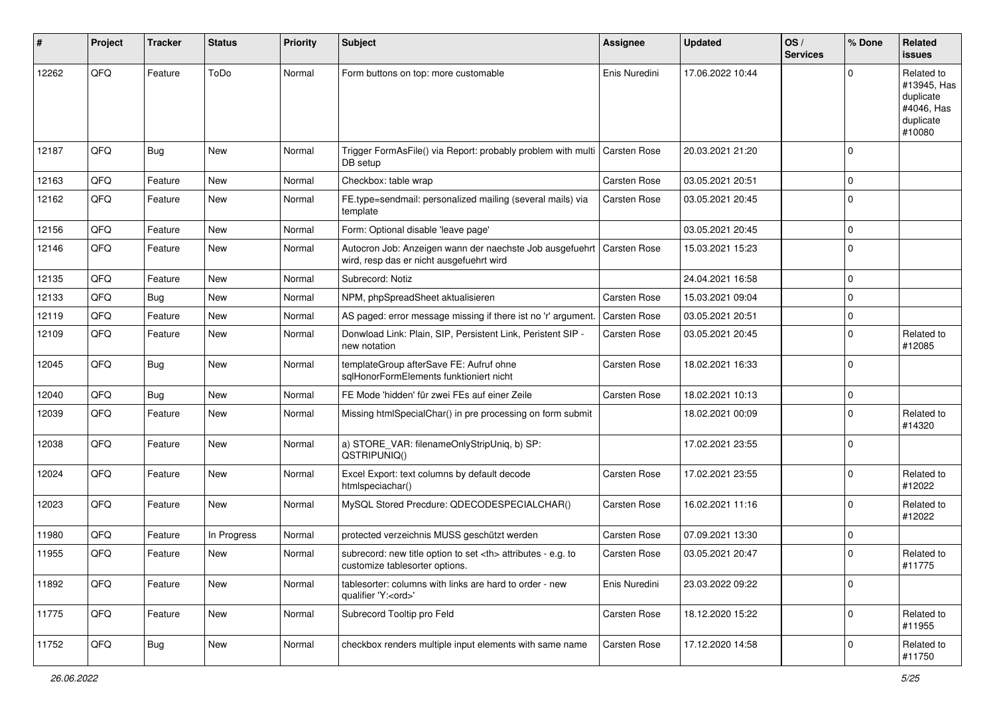| #     | Project | <b>Tracker</b> | <b>Status</b> | <b>Priority</b> | Subject                                                                                              | Assignee                                               | <b>Updated</b>   | OS/<br><b>Services</b> | % Done      | Related<br>issues                                                           |                      |
|-------|---------|----------------|---------------|-----------------|------------------------------------------------------------------------------------------------------|--------------------------------------------------------|------------------|------------------------|-------------|-----------------------------------------------------------------------------|----------------------|
| 12262 | QFQ     | Feature        | ToDo          | Normal          | Form buttons on top: more customable                                                                 | Enis Nuredini                                          | 17.06.2022 10:44 |                        | $\Omega$    | Related to<br>#13945, Has<br>duplicate<br>#4046, Has<br>duplicate<br>#10080 |                      |
| 12187 | QFQ     | <b>Bug</b>     | New           | Normal          | Trigger FormAsFile() via Report: probably problem with multi   Carsten Rose<br>DB setup              |                                                        | 20.03.2021 21:20 |                        | $\Omega$    |                                                                             |                      |
| 12163 | QFQ     | Feature        | New           | Normal          | Checkbox: table wrap                                                                                 | Carsten Rose                                           | 03.05.2021 20:51 |                        | $\mathbf 0$ |                                                                             |                      |
| 12162 | QFQ     | Feature        | <b>New</b>    | Normal          | FE.type=sendmail: personalized mailing (several mails) via<br>template                               | <b>Carsten Rose</b>                                    | 03.05.2021 20:45 |                        | $\Omega$    |                                                                             |                      |
| 12156 | QFQ     | Feature        | <b>New</b>    | Normal          | Form: Optional disable 'leave page'                                                                  |                                                        | 03.05.2021 20:45 |                        | $\mathbf 0$ |                                                                             |                      |
| 12146 | QFQ     | Feature        | New           | Normal          | Autocron Job: Anzeigen wann der naechste Job ausgefuehrt<br>wird, resp das er nicht ausgefuehrt wird | <b>Carsten Rose</b>                                    | 15.03.2021 15:23 |                        | $\mathbf 0$ |                                                                             |                      |
| 12135 | QFQ     | Feature        | New           | Normal          | Subrecord: Notiz                                                                                     |                                                        | 24.04.2021 16:58 |                        | $\mathbf 0$ |                                                                             |                      |
| 12133 | QFQ     | Bug            | New           | Normal          | NPM, phpSpreadSheet aktualisieren                                                                    | Carsten Rose                                           | 15.03.2021 09:04 |                        | $\mathbf 0$ |                                                                             |                      |
| 12119 | QFQ     | Feature        | New           | Normal          | AS paged: error message missing if there ist no 'r' argument.                                        | <b>Carsten Rose</b>                                    | 03.05.2021 20:51 |                        | $\mathbf 0$ |                                                                             |                      |
| 12109 | QFQ     | Feature        | New           | Normal          | Donwload Link: Plain, SIP, Persistent Link, Peristent SIP -<br>new notation                          | <b>Carsten Rose</b>                                    | 03.05.2021 20:45 |                        | $\Omega$    | Related to<br>#12085                                                        |                      |
| 12045 | QFQ     | Bug            | New           | Normal          | templateGroup afterSave FE: Aufruf ohne<br>sglHonorFormElements funktioniert nicht                   | Carsten Rose                                           | 18.02.2021 16:33 |                        | $\Omega$    |                                                                             |                      |
| 12040 | QFQ     | Bug            | New           | Normal          | FE Mode 'hidden' für zwei FEs auf einer Zeile                                                        | <b>Carsten Rose</b>                                    | 18.02.2021 10:13 |                        | $\Omega$    |                                                                             |                      |
| 12039 | QFQ     | Feature        | New           | Normal          | Missing htmlSpecialChar() in pre processing on form submit                                           |                                                        | 18.02.2021 00:09 |                        | $\mathbf 0$ | Related to<br>#14320                                                        |                      |
| 12038 | QFQ     | Feature        | New           | Normal          | a) STORE_VAR: filenameOnlyStripUniq, b) SP:<br>QSTRIPUNIQ()                                          |                                                        | 17.02.2021 23:55 |                        | $\Omega$    |                                                                             |                      |
| 12024 | QFQ     | Feature        | New           | Normal          | Excel Export: text columns by default decode<br>htmlspeciachar()                                     | Carsten Rose                                           | 17.02.2021 23:55 |                        | $\Omega$    | Related to<br>#12022                                                        |                      |
| 12023 | QFQ     | Feature        | <b>New</b>    | Normal          | MySQL Stored Precdure: QDECODESPECIALCHAR()                                                          | <b>Carsten Rose</b>                                    | 16.02.2021 11:16 |                        | $\Omega$    | Related to<br>#12022                                                        |                      |
| 11980 | QFQ     | Feature        | In Progress   | Normal          | protected verzeichnis MUSS geschützt werden                                                          | Carsten Rose                                           | 07.09.2021 13:30 |                        | $\mathbf 0$ |                                                                             |                      |
| 11955 | QFQ     | Feature        | New           | Normal          | subrecord: new title option to set <th> attributes - e.g. to<br/>customize tablesorter options.</th> | attributes - e.g. to<br>customize tablesorter options. | Carsten Rose     | 03.05.2021 20:47       |             | $\Omega$                                                                    | Related to<br>#11775 |
| 11892 | QFQ     | Feature        | New           | Normal          | tablesorter: columns with links are hard to order - new<br>qualifier 'Y: <ord>'</ord>                | Enis Nuredini                                          | 23.03.2022 09:22 |                        | 0           |                                                                             |                      |
| 11775 | QFQ     | Feature        | New           | Normal          | Subrecord Tooltip pro Feld                                                                           | Carsten Rose                                           | 18.12.2020 15:22 |                        | $\Omega$    | Related to<br>#11955                                                        |                      |
| 11752 | QFQ     | <b>Bug</b>     | New           | Normal          | checkbox renders multiple input elements with same name                                              | Carsten Rose                                           | 17.12.2020 14:58 |                        | $\mathbf 0$ | Related to<br>#11750                                                        |                      |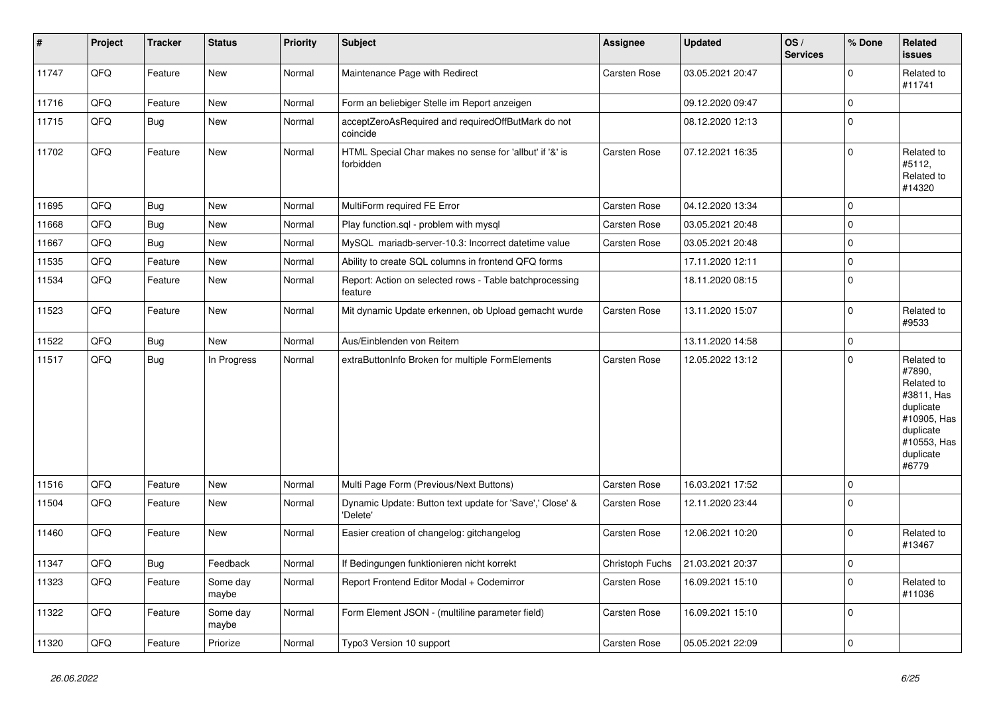| $\vert$ # | Project | <b>Tracker</b> | <b>Status</b>     | <b>Priority</b> | <b>Subject</b>                                                       | Assignee        | <b>Updated</b>   | OS/<br><b>Services</b> | % Done         | Related<br><b>issues</b>                                                                                                       |
|-----------|---------|----------------|-------------------|-----------------|----------------------------------------------------------------------|-----------------|------------------|------------------------|----------------|--------------------------------------------------------------------------------------------------------------------------------|
| 11747     | QFQ     | Feature        | <b>New</b>        | Normal          | Maintenance Page with Redirect                                       | Carsten Rose    | 03.05.2021 20:47 |                        | $\Omega$       | Related to<br>#11741                                                                                                           |
| 11716     | QFQ     | Feature        | <b>New</b>        | Normal          | Form an beliebiger Stelle im Report anzeigen                         |                 | 09.12.2020 09:47 |                        | $\mathbf 0$    |                                                                                                                                |
| 11715     | QFQ     | <b>Bug</b>     | New               | Normal          | acceptZeroAsRequired and requiredOffButMark do not<br>coincide       |                 | 08.12.2020 12:13 |                        | $\Omega$       |                                                                                                                                |
| 11702     | QFQ     | Feature        | <b>New</b>        | Normal          | HTML Special Char makes no sense for 'allbut' if '&' is<br>forbidden | Carsten Rose    | 07.12.2021 16:35 |                        | $\Omega$       | Related to<br>#5112,<br>Related to<br>#14320                                                                                   |
| 11695     | QFQ     | <b>Bug</b>     | <b>New</b>        | Normal          | MultiForm required FE Error                                          | Carsten Rose    | 04.12.2020 13:34 |                        | $\overline{0}$ |                                                                                                                                |
| 11668     | QFQ     | <b>Bug</b>     | New               | Normal          | Play function.sql - problem with mysql                               | Carsten Rose    | 03.05.2021 20:48 |                        | $\Omega$       |                                                                                                                                |
| 11667     | QFQ     | <b>Bug</b>     | New               | Normal          | MySQL mariadb-server-10.3: Incorrect datetime value                  | Carsten Rose    | 03.05.2021 20:48 |                        | $\mathbf 0$    |                                                                                                                                |
| 11535     | QFQ     | Feature        | <b>New</b>        | Normal          | Ability to create SQL columns in frontend QFQ forms                  |                 | 17.11.2020 12:11 |                        | $\Omega$       |                                                                                                                                |
| 11534     | QFQ     | Feature        | <b>New</b>        | Normal          | Report: Action on selected rows - Table batchprocessing<br>feature   |                 | 18.11.2020 08:15 |                        | $\Omega$       |                                                                                                                                |
| 11523     | QFQ     | Feature        | <b>New</b>        | Normal          | Mit dynamic Update erkennen, ob Upload gemacht wurde                 | Carsten Rose    | 13.11.2020 15:07 |                        | $\Omega$       | Related to<br>#9533                                                                                                            |
| 11522     | QFQ     | <b>Bug</b>     | New               | Normal          | Aus/Einblenden von Reitern                                           |                 | 13.11.2020 14:58 |                        | $\mathbf 0$    |                                                                                                                                |
| 11517     | QFQ     | <b>Bug</b>     | In Progress       | Normal          | extraButtonInfo Broken for multiple FormElements                     | Carsten Rose    | 12.05.2022 13:12 |                        | $\mathbf 0$    | Related to<br>#7890,<br>Related to<br>#3811, Has<br>duplicate<br>#10905, Has<br>duplicate<br>#10553, Has<br>duplicate<br>#6779 |
| 11516     | QFQ     | Feature        | <b>New</b>        | Normal          | Multi Page Form (Previous/Next Buttons)                              | Carsten Rose    | 16.03.2021 17:52 |                        | $\mathbf 0$    |                                                                                                                                |
| 11504     | QFQ     | Feature        | <b>New</b>        | Normal          | Dynamic Update: Button text update for 'Save',' Close' &<br>'Delete' | Carsten Rose    | 12.11.2020 23:44 |                        | $\Omega$       |                                                                                                                                |
| 11460     | QFQ     | Feature        | New               | Normal          | Easier creation of changelog: gitchangelog                           | Carsten Rose    | 12.06.2021 10:20 |                        | $\Omega$       | Related to<br>#13467                                                                                                           |
| 11347     | QFQ     | <b>Bug</b>     | Feedback          | Normal          | If Bedingungen funktionieren nicht korrekt                           | Christoph Fuchs | 21.03.2021 20:37 |                        | $\mathbf 0$    |                                                                                                                                |
| 11323     | QFQ     | Feature        | Some day<br>maybe | Normal          | Report Frontend Editor Modal + Codemirror                            | Carsten Rose    | 16.09.2021 15:10 |                        | $\Omega$       | Related to<br>#11036                                                                                                           |
| 11322     | QFQ     | Feature        | Some day<br>maybe | Normal          | Form Element JSON - (multiline parameter field)                      | Carsten Rose    | 16.09.2021 15:10 |                        | $\Omega$       |                                                                                                                                |
| 11320     | QFQ     | Feature        | Priorize          | Normal          | Typo3 Version 10 support                                             | Carsten Rose    | 05.05.2021 22:09 |                        | $\mathbf 0$    |                                                                                                                                |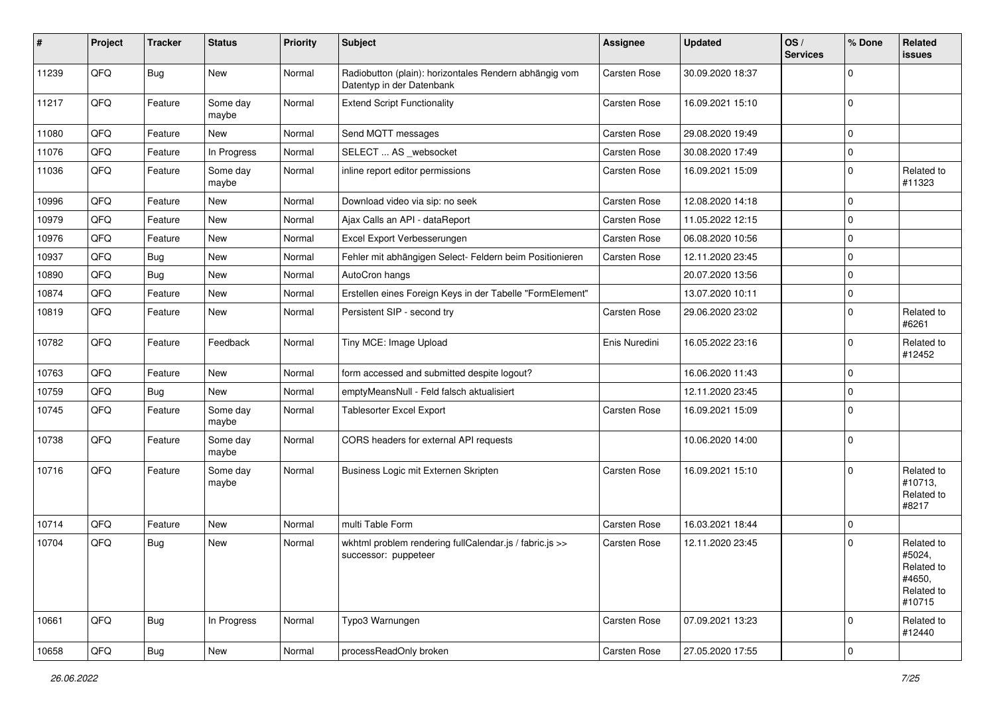| #     | Project | <b>Tracker</b> | <b>Status</b>     | <b>Priority</b> | <b>Subject</b>                                                                      | Assignee            | <b>Updated</b>   | OS/<br><b>Services</b> | % Done      | Related<br>issues                                                    |
|-------|---------|----------------|-------------------|-----------------|-------------------------------------------------------------------------------------|---------------------|------------------|------------------------|-------------|----------------------------------------------------------------------|
| 11239 | QFQ     | <b>Bug</b>     | New               | Normal          | Radiobutton (plain): horizontales Rendern abhängig vom<br>Datentyp in der Datenbank | Carsten Rose        | 30.09.2020 18:37 |                        | $\Omega$    |                                                                      |
| 11217 | QFQ     | Feature        | Some day<br>maybe | Normal          | <b>Extend Script Functionality</b>                                                  | <b>Carsten Rose</b> | 16.09.2021 15:10 |                        | $\Omega$    |                                                                      |
| 11080 | QFQ     | Feature        | New               | Normal          | Send MQTT messages                                                                  | <b>Carsten Rose</b> | 29.08.2020 19:49 |                        | $\mathbf 0$ |                                                                      |
| 11076 | QFQ     | Feature        | In Progress       | Normal          | SELECT  AS _websocket                                                               | Carsten Rose        | 30.08.2020 17:49 |                        | $\mathbf 0$ |                                                                      |
| 11036 | QFQ     | Feature        | Some day<br>maybe | Normal          | inline report editor permissions                                                    | <b>Carsten Rose</b> | 16.09.2021 15:09 |                        | $\Omega$    | Related to<br>#11323                                                 |
| 10996 | QFQ     | Feature        | New               | Normal          | Download video via sip: no seek                                                     | <b>Carsten Rose</b> | 12.08.2020 14:18 |                        | $\mathbf 0$ |                                                                      |
| 10979 | QFQ     | Feature        | New               | Normal          | Ajax Calls an API - dataReport                                                      | <b>Carsten Rose</b> | 11.05.2022 12:15 |                        | $\mathbf 0$ |                                                                      |
| 10976 | QFQ     | Feature        | New               | Normal          | Excel Export Verbesserungen                                                         | <b>Carsten Rose</b> | 06.08.2020 10:56 |                        | $\Omega$    |                                                                      |
| 10937 | QFQ     | Bug            | New               | Normal          | Fehler mit abhängigen Select- Feldern beim Positionieren                            | Carsten Rose        | 12.11.2020 23:45 |                        | $\mathbf 0$ |                                                                      |
| 10890 | QFQ     | Bug            | New               | Normal          | AutoCron hangs                                                                      |                     | 20.07.2020 13:56 |                        | $\mathbf 0$ |                                                                      |
| 10874 | QFQ     | Feature        | New               | Normal          | Erstellen eines Foreign Keys in der Tabelle "FormElement"                           |                     | 13.07.2020 10:11 |                        | $\mathbf 0$ |                                                                      |
| 10819 | QFQ     | Feature        | New               | Normal          | Persistent SIP - second try                                                         | <b>Carsten Rose</b> | 29.06.2020 23:02 |                        | $\mathbf 0$ | Related to<br>#6261                                                  |
| 10782 | QFQ     | Feature        | Feedback          | Normal          | Tiny MCE: Image Upload                                                              | Enis Nuredini       | 16.05.2022 23:16 |                        | $\mathbf 0$ | Related to<br>#12452                                                 |
| 10763 | QFQ     | Feature        | New               | Normal          | form accessed and submitted despite logout?                                         |                     | 16.06.2020 11:43 |                        | $\mathbf 0$ |                                                                      |
| 10759 | QFQ     | <b>Bug</b>     | New               | Normal          | emptyMeansNull - Feld falsch aktualisiert                                           |                     | 12.11.2020 23:45 |                        | $\mathbf 0$ |                                                                      |
| 10745 | QFQ     | Feature        | Some day<br>maybe | Normal          | <b>Tablesorter Excel Export</b>                                                     | Carsten Rose        | 16.09.2021 15:09 |                        | $\Omega$    |                                                                      |
| 10738 | QFQ     | Feature        | Some day<br>maybe | Normal          | CORS headers for external API requests                                              |                     | 10.06.2020 14:00 |                        | $\mathbf 0$ |                                                                      |
| 10716 | QFQ     | Feature        | Some day<br>maybe | Normal          | Business Logic mit Externen Skripten                                                | <b>Carsten Rose</b> | 16.09.2021 15:10 |                        | $\mathbf 0$ | Related to<br>#10713,<br>Related to<br>#8217                         |
| 10714 | QFQ     | Feature        | New               | Normal          | multi Table Form                                                                    | <b>Carsten Rose</b> | 16.03.2021 18:44 |                        | $\mathbf 0$ |                                                                      |
| 10704 | QFQ     | Bug            | New               | Normal          | wkhtml problem rendering fullCalendar.js / fabric.js >><br>successor: puppeteer     | <b>Carsten Rose</b> | 12.11.2020 23:45 |                        | $\Omega$    | Related to<br>#5024,<br>Related to<br>#4650,<br>Related to<br>#10715 |
| 10661 | QFQ     | <b>Bug</b>     | In Progress       | Normal          | Typo3 Warnungen                                                                     | Carsten Rose        | 07.09.2021 13:23 |                        | $\Omega$    | Related to<br>#12440                                                 |
| 10658 | QFQ     | Bug            | New               | Normal          | processReadOnly broken                                                              | Carsten Rose        | 27.05.2020 17:55 |                        | $\pmb{0}$   |                                                                      |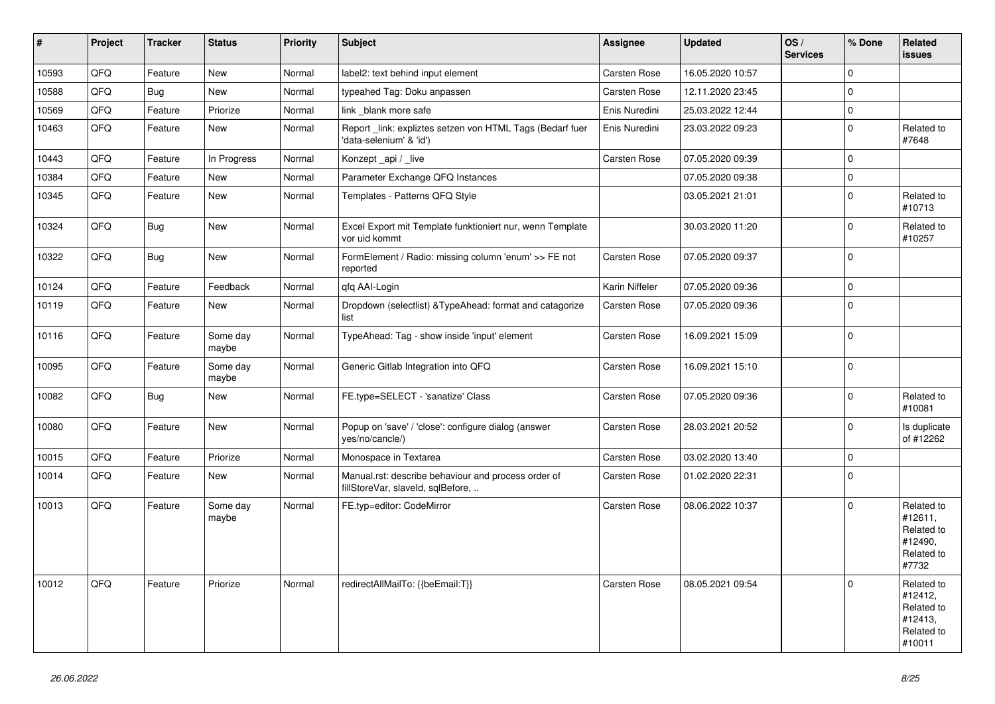| #     | Project | <b>Tracker</b> | <b>Status</b>     | Priority | <b>Subject</b>                                                                           | Assignee       | <b>Updated</b>   | OS/<br><b>Services</b> | % Done         | Related<br><b>issues</b>                                               |
|-------|---------|----------------|-------------------|----------|------------------------------------------------------------------------------------------|----------------|------------------|------------------------|----------------|------------------------------------------------------------------------|
| 10593 | QFQ     | Feature        | <b>New</b>        | Normal   | label2: text behind input element                                                        | Carsten Rose   | 16.05.2020 10:57 |                        | $\Omega$       |                                                                        |
| 10588 | QFQ     | <b>Bug</b>     | <b>New</b>        | Normal   | typeahed Tag: Doku anpassen                                                              | Carsten Rose   | 12.11.2020 23:45 |                        | $\Omega$       |                                                                        |
| 10569 | QFQ     | Feature        | Priorize          | Normal   | link _blank more safe                                                                    | Enis Nuredini  | 25.03.2022 12:44 |                        | $\mathbf 0$    |                                                                        |
| 10463 | QFQ     | Feature        | New               | Normal   | Report _link: expliztes setzen von HTML Tags (Bedarf fuer<br>'data-selenium' & 'id')     | Enis Nuredini  | 23.03.2022 09:23 |                        | $\mathbf 0$    | Related to<br>#7648                                                    |
| 10443 | QFQ     | Feature        | In Progress       | Normal   | Konzept_api / _live                                                                      | Carsten Rose   | 07.05.2020 09:39 |                        | $\Omega$       |                                                                        |
| 10384 | QFQ     | Feature        | <b>New</b>        | Normal   | Parameter Exchange QFQ Instances                                                         |                | 07.05.2020 09:38 |                        | $\Omega$       |                                                                        |
| 10345 | QFQ     | Feature        | <b>New</b>        | Normal   | Templates - Patterns QFQ Style                                                           |                | 03.05.2021 21:01 |                        | $\Omega$       | Related to<br>#10713                                                   |
| 10324 | QFQ     | Bug            | <b>New</b>        | Normal   | Excel Export mit Template funktioniert nur, wenn Template<br>vor uid kommt               |                | 30.03.2020 11:20 |                        | $\Omega$       | Related to<br>#10257                                                   |
| 10322 | QFQ     | <b>Bug</b>     | New               | Normal   | FormElement / Radio: missing column 'enum' >> FE not<br>reported                         | Carsten Rose   | 07.05.2020 09:37 |                        | $\Omega$       |                                                                        |
| 10124 | QFQ     | Feature        | Feedback          | Normal   | gfg AAI-Login                                                                            | Karin Niffeler | 07.05.2020 09:36 |                        | $\mathbf 0$    |                                                                        |
| 10119 | QFQ     | Feature        | New               | Normal   | Dropdown (selectlist) & TypeAhead: format and catagorize<br>list                         | Carsten Rose   | 07.05.2020 09:36 |                        | $\Omega$       |                                                                        |
| 10116 | QFQ     | Feature        | Some day<br>maybe | Normal   | TypeAhead: Tag - show inside 'input' element                                             | Carsten Rose   | 16.09.2021 15:09 |                        | $\mathbf 0$    |                                                                        |
| 10095 | QFQ     | Feature        | Some day<br>maybe | Normal   | Generic Gitlab Integration into QFQ                                                      | Carsten Rose   | 16.09.2021 15:10 |                        | $\Omega$       |                                                                        |
| 10082 | QFQ     | <b>Bug</b>     | New               | Normal   | FE.type=SELECT - 'sanatize' Class                                                        | Carsten Rose   | 07.05.2020 09:36 |                        | $\Omega$       | Related to<br>#10081                                                   |
| 10080 | QFQ     | Feature        | <b>New</b>        | Normal   | Popup on 'save' / 'close': configure dialog (answer<br>yes/no/cancle/)                   | Carsten Rose   | 28.03.2021 20:52 |                        | $\Omega$       | Is duplicate<br>of #12262                                              |
| 10015 | QFQ     | Feature        | Priorize          | Normal   | Monospace in Textarea                                                                    | Carsten Rose   | 03.02.2020 13:40 |                        | $\mathbf 0$    |                                                                        |
| 10014 | QFQ     | Feature        | New               | Normal   | Manual.rst: describe behaviour and process order of<br>fillStoreVar, slaveId, sqlBefore, | Carsten Rose   | 01.02.2020 22:31 |                        | $\overline{0}$ |                                                                        |
| 10013 | QFQ     | Feature        | Some day<br>maybe | Normal   | FE.typ=editor: CodeMirror                                                                | Carsten Rose   | 08.06.2022 10:37 |                        | $\Omega$       | Related to<br>#12611,<br>Related to<br>#12490.<br>Related to<br>#7732  |
| 10012 | QFQ     | Feature        | Priorize          | Normal   | redirectAllMailTo: {{beEmail:T}}                                                         | Carsten Rose   | 08.05.2021 09:54 |                        | $\Omega$       | Related to<br>#12412,<br>Related to<br>#12413,<br>Related to<br>#10011 |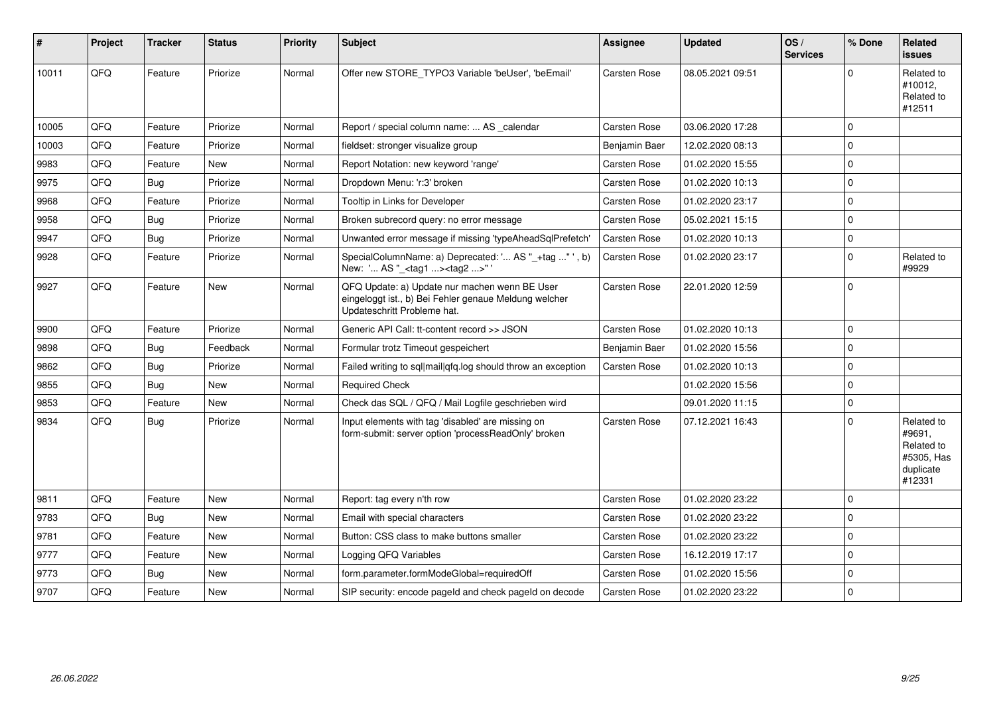| #     | Project | <b>Tracker</b> | <b>Status</b> | <b>Priority</b> | <b>Subject</b>                                                                                                                        | Assignee            | <b>Updated</b>   | OS/<br><b>Services</b> | % Done      | Related<br>issues                                                       |
|-------|---------|----------------|---------------|-----------------|---------------------------------------------------------------------------------------------------------------------------------------|---------------------|------------------|------------------------|-------------|-------------------------------------------------------------------------|
| 10011 | QFQ     | Feature        | Priorize      | Normal          | Offer new STORE_TYPO3 Variable 'beUser', 'beEmail'                                                                                    | <b>Carsten Rose</b> | 08.05.2021 09:51 |                        | U           | Related to<br>#10012,<br>Related to<br>#12511                           |
| 10005 | QFQ     | Feature        | Priorize      | Normal          | Report / special column name:  AS _calendar                                                                                           | <b>Carsten Rose</b> | 03.06.2020 17:28 |                        | $\Omega$    |                                                                         |
| 10003 | QFQ     | Feature        | Priorize      | Normal          | fieldset: stronger visualize group                                                                                                    | Benjamin Baer       | 12.02.2020 08:13 |                        | $\Omega$    |                                                                         |
| 9983  | QFQ     | Feature        | New           | Normal          | Report Notation: new keyword 'range'                                                                                                  | Carsten Rose        | 01.02.2020 15:55 |                        | $\Omega$    |                                                                         |
| 9975  | QFQ     | Bug            | Priorize      | Normal          | Dropdown Menu: 'r:3' broken                                                                                                           | <b>Carsten Rose</b> | 01.02.2020 10:13 |                        | $\mathbf 0$ |                                                                         |
| 9968  | QFQ     | Feature        | Priorize      | Normal          | Tooltip in Links for Developer                                                                                                        | Carsten Rose        | 01.02.2020 23:17 |                        | 0           |                                                                         |
| 9958  | QFQ     | <b>Bug</b>     | Priorize      | Normal          | Broken subrecord query: no error message                                                                                              | <b>Carsten Rose</b> | 05.02.2021 15:15 |                        | $\Omega$    |                                                                         |
| 9947  | QFQ     | Bug            | Priorize      | Normal          | Unwanted error message if missing 'typeAheadSqlPrefetch'                                                                              | <b>Carsten Rose</b> | 01.02.2020 10:13 |                        | $\Omega$    |                                                                         |
| 9928  | QFQ     | Feature        | Priorize      | Normal          | SpecialColumnName: a) Deprecated: ' AS "_+tag "', b)<br>New: ' AS "_ <tag1><tag2>"</tag2></tag1>                                      | <b>Carsten Rose</b> | 01.02.2020 23:17 |                        | $\Omega$    | Related to<br>#9929                                                     |
| 9927  | QFQ     | Feature        | New           | Normal          | QFQ Update: a) Update nur machen wenn BE User<br>eingeloggt ist., b) Bei Fehler genaue Meldung welcher<br>Updateschritt Probleme hat. | <b>Carsten Rose</b> | 22.01.2020 12:59 |                        | $\Omega$    |                                                                         |
| 9900  | QFQ     | Feature        | Priorize      | Normal          | Generic API Call: tt-content record >> JSON                                                                                           | <b>Carsten Rose</b> | 01.02.2020 10:13 |                        | $\Omega$    |                                                                         |
| 9898  | QFQ     | <b>Bug</b>     | Feedback      | Normal          | Formular trotz Timeout gespeichert                                                                                                    | Benjamin Baer       | 01.02.2020 15:56 |                        | $\mathbf 0$ |                                                                         |
| 9862  | QFQ     | <b>Bug</b>     | Priorize      | Normal          | Failed writing to sql mail qfq.log should throw an exception                                                                          | <b>Carsten Rose</b> | 01.02.2020 10:13 |                        | $\Omega$    |                                                                         |
| 9855  | QFQ     | Bug            | <b>New</b>    | Normal          | <b>Required Check</b>                                                                                                                 |                     | 01.02.2020 15:56 |                        | $\Omega$    |                                                                         |
| 9853  | QFQ     | Feature        | New           | Normal          | Check das SQL / QFQ / Mail Logfile geschrieben wird                                                                                   |                     | 09.01.2020 11:15 |                        | $\Omega$    |                                                                         |
| 9834  | QFQ     | Bug            | Priorize      | Normal          | Input elements with tag 'disabled' are missing on<br>form-submit: server option 'processReadOnly' broken                              | Carsten Rose        | 07.12.2021 16:43 |                        | $\Omega$    | Related to<br>#9691,<br>Related to<br>#5305, Has<br>duplicate<br>#12331 |
| 9811  | QFQ     | Feature        | New           | Normal          | Report: tag every n'th row                                                                                                            | <b>Carsten Rose</b> | 01.02.2020 23:22 |                        | $\mathbf 0$ |                                                                         |
| 9783  | QFQ     | Bug            | <b>New</b>    | Normal          | Email with special characters                                                                                                         | Carsten Rose        | 01.02.2020 23:22 |                        | $\Omega$    |                                                                         |
| 9781  | QFQ     | Feature        | <b>New</b>    | Normal          | Button: CSS class to make buttons smaller                                                                                             | Carsten Rose        | 01.02.2020 23:22 |                        | $\Omega$    |                                                                         |
| 9777  | QFQ     | Feature        | New           | Normal          | Logging QFQ Variables                                                                                                                 | <b>Carsten Rose</b> | 16.12.2019 17:17 |                        | $\Omega$    |                                                                         |
| 9773  | QFQ     | Bug            | New           | Normal          | form.parameter.formModeGlobal=requiredOff                                                                                             | Carsten Rose        | 01.02.2020 15:56 |                        | $\Omega$    |                                                                         |
| 9707  | QFQ     | Feature        | <b>New</b>    | Normal          | SIP security: encode pageld and check pageld on decode                                                                                | <b>Carsten Rose</b> | 01.02.2020 23:22 |                        | $\Omega$    |                                                                         |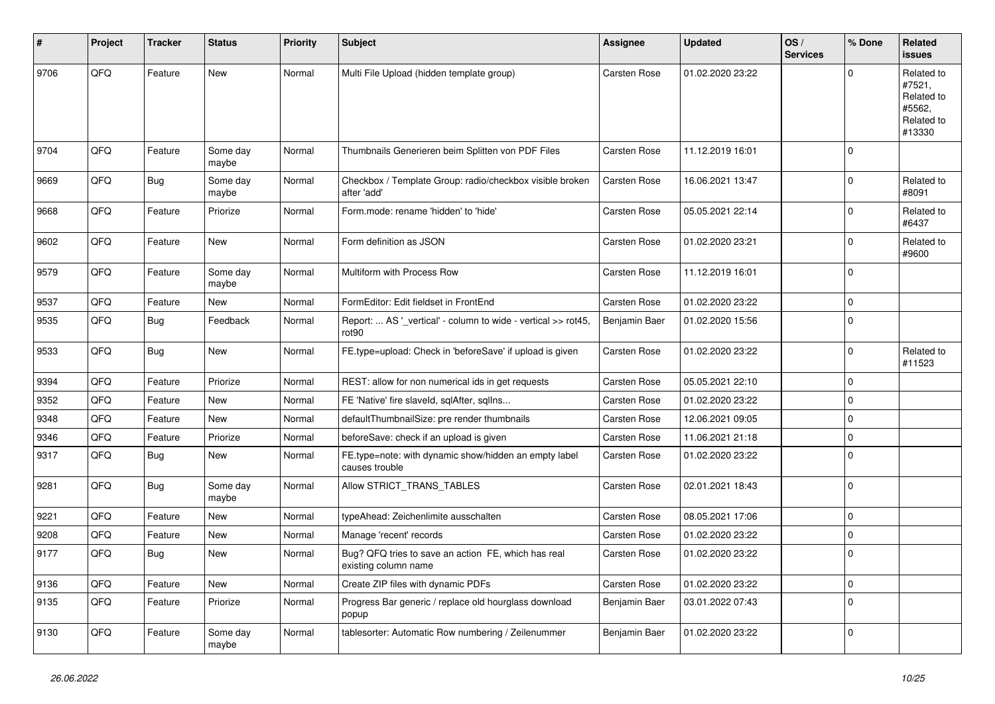| #    | Project | <b>Tracker</b> | <b>Status</b>     | <b>Priority</b> | <b>Subject</b>                                                                     | <b>Assignee</b>     | <b>Updated</b>   | OS/<br><b>Services</b> | % Done      | Related<br><b>issues</b>                                             |
|------|---------|----------------|-------------------|-----------------|------------------------------------------------------------------------------------|---------------------|------------------|------------------------|-------------|----------------------------------------------------------------------|
| 9706 | QFQ     | Feature        | <b>New</b>        | Normal          | Multi File Upload (hidden template group)                                          | Carsten Rose        | 01.02.2020 23:22 |                        | $\Omega$    | Related to<br>#7521,<br>Related to<br>#5562,<br>Related to<br>#13330 |
| 9704 | QFQ     | Feature        | Some day<br>maybe | Normal          | Thumbnails Generieren beim Splitten von PDF Files                                  | Carsten Rose        | 11.12.2019 16:01 |                        | $\mathbf 0$ |                                                                      |
| 9669 | QFQ     | Bug            | Some day<br>maybe | Normal          | Checkbox / Template Group: radio/checkbox visible broken<br>after 'add'            | Carsten Rose        | 16.06.2021 13:47 |                        | $\mathbf 0$ | Related to<br>#8091                                                  |
| 9668 | QFQ     | Feature        | Priorize          | Normal          | Form.mode: rename 'hidden' to 'hide'                                               | Carsten Rose        | 05.05.2021 22:14 |                        | $\mathbf 0$ | Related to<br>#6437                                                  |
| 9602 | QFQ     | Feature        | <b>New</b>        | Normal          | Form definition as JSON                                                            | Carsten Rose        | 01.02.2020 23:21 |                        | $\mathbf 0$ | Related to<br>#9600                                                  |
| 9579 | QFQ     | Feature        | Some day<br>maybe | Normal          | Multiform with Process Row                                                         | <b>Carsten Rose</b> | 11.12.2019 16:01 |                        | $\mathbf 0$ |                                                                      |
| 9537 | QFQ     | Feature        | New               | Normal          | FormEditor: Edit fieldset in FrontEnd                                              | Carsten Rose        | 01.02.2020 23:22 |                        | $\mathbf 0$ |                                                                      |
| 9535 | QFQ     | Bug            | Feedback          | Normal          | Report:  AS '_vertical' - column to wide - vertical >> rot45,<br>rot <sub>90</sub> | Benjamin Baer       | 01.02.2020 15:56 |                        | $\mathbf 0$ |                                                                      |
| 9533 | QFQ     | Bug            | <b>New</b>        | Normal          | FE.type=upload: Check in 'beforeSave' if upload is given                           | Carsten Rose        | 01.02.2020 23:22 |                        | $\mathbf 0$ | Related to<br>#11523                                                 |
| 9394 | QFQ     | Feature        | Priorize          | Normal          | REST: allow for non numerical ids in get requests                                  | Carsten Rose        | 05.05.2021 22:10 |                        | $\mathbf 0$ |                                                                      |
| 9352 | QFQ     | Feature        | <b>New</b>        | Normal          | FE 'Native' fire slaveld, sqlAfter, sqlIns                                         | Carsten Rose        | 01.02.2020 23:22 |                        | $\mathbf 0$ |                                                                      |
| 9348 | QFQ     | Feature        | New               | Normal          | defaultThumbnailSize: pre render thumbnails                                        | Carsten Rose        | 12.06.2021 09:05 |                        | $\mathbf 0$ |                                                                      |
| 9346 | QFQ     | Feature        | Priorize          | Normal          | beforeSave: check if an upload is given                                            | Carsten Rose        | 11.06.2021 21:18 |                        | $\mathbf 0$ |                                                                      |
| 9317 | QFQ     | Bug            | <b>New</b>        | Normal          | FE.type=note: with dynamic show/hidden an empty label<br>causes trouble            | Carsten Rose        | 01.02.2020 23:22 |                        | $\mathbf 0$ |                                                                      |
| 9281 | QFQ     | Bug            | Some day<br>maybe | Normal          | Allow STRICT_TRANS_TABLES                                                          | Carsten Rose        | 02.01.2021 18:43 |                        | $\mathbf 0$ |                                                                      |
| 9221 | QFQ     | Feature        | <b>New</b>        | Normal          | typeAhead: Zeichenlimite ausschalten                                               | Carsten Rose        | 08.05.2021 17:06 |                        | $\mathbf 0$ |                                                                      |
| 9208 | QFQ     | Feature        | <b>New</b>        | Normal          | Manage 'recent' records                                                            | Carsten Rose        | 01.02.2020 23:22 |                        | $\mathbf 0$ |                                                                      |
| 9177 | QFQ     | Bug            | New               | Normal          | Bug? QFQ tries to save an action FE, which has real<br>existing column name        | Carsten Rose        | 01.02.2020 23:22 |                        | $\mathbf 0$ |                                                                      |
| 9136 | QFQ     | Feature        | New               | Normal          | Create ZIP files with dynamic PDFs                                                 | Carsten Rose        | 01.02.2020 23:22 |                        | $\mathbf 0$ |                                                                      |
| 9135 | QFQ     | Feature        | Priorize          | Normal          | Progress Bar generic / replace old hourglass download<br>popup                     | Benjamin Baer       | 03.01.2022 07:43 |                        | $\mathbf 0$ |                                                                      |
| 9130 | QFG     | Feature        | Some day<br>maybe | Normal          | tablesorter: Automatic Row numbering / Zeilenummer                                 | Benjamin Baer       | 01.02.2020 23:22 |                        | $\mathbf 0$ |                                                                      |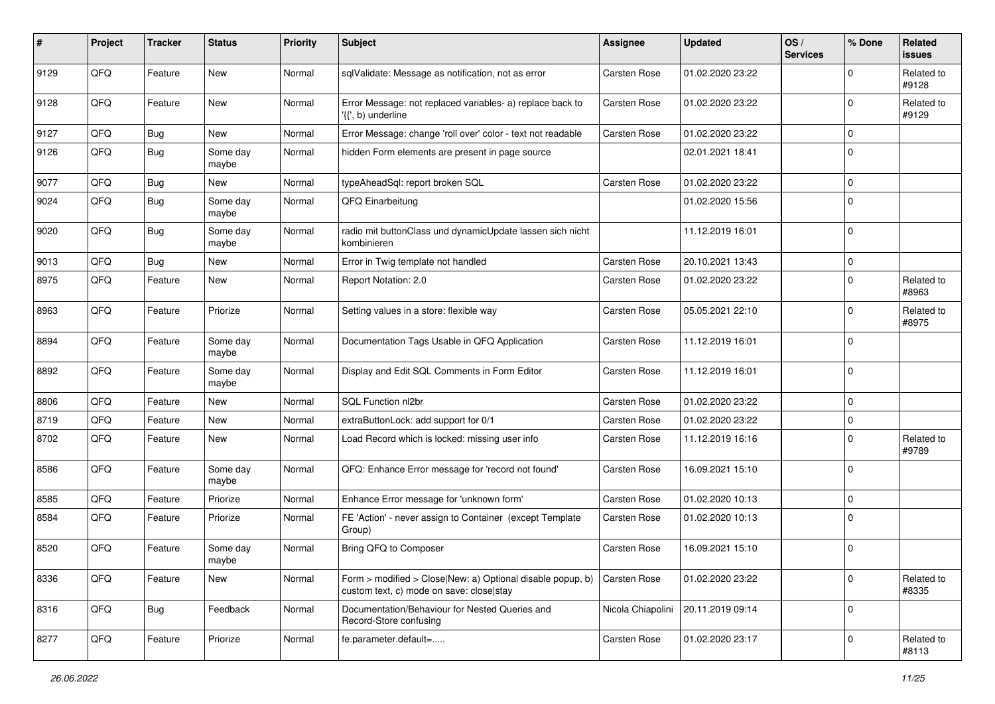| #    | Project | <b>Tracker</b> | <b>Status</b>       | <b>Priority</b> | <b>Subject</b>                                                                                         | Assignee            | <b>Updated</b>   | OS/<br><b>Services</b> | % Done       | Related<br>issues   |
|------|---------|----------------|---------------------|-----------------|--------------------------------------------------------------------------------------------------------|---------------------|------------------|------------------------|--------------|---------------------|
| 9129 | QFQ     | Feature        | <b>New</b>          | Normal          | sqlValidate: Message as notification, not as error                                                     | Carsten Rose        | 01.02.2020 23:22 |                        | <sup>0</sup> | Related to<br>#9128 |
| 9128 | QFQ     | Feature        | New                 | Normal          | Error Message: not replaced variables- a) replace back to<br>$\langle \{ \}$ , b) underline            | <b>Carsten Rose</b> | 01.02.2020 23:22 |                        | $\Omega$     | Related to<br>#9129 |
| 9127 | QFQ     | <b>Bug</b>     | New                 | Normal          | Error Message: change 'roll over' color - text not readable                                            | Carsten Rose        | 01.02.2020 23:22 |                        | 0            |                     |
| 9126 | QFQ     | <b>Bug</b>     | Some day<br>maybe   | Normal          | hidden Form elements are present in page source                                                        |                     | 02.01.2021 18:41 |                        | $\Omega$     |                     |
| 9077 | QFQ     | <b>Bug</b>     | New                 | Normal          | typeAheadSql: report broken SQL                                                                        | Carsten Rose        | 01.02.2020 23:22 |                        | $\Omega$     |                     |
| 9024 | QFQ     | <b>Bug</b>     | Some day<br>maybe   | Normal          | QFQ Einarbeitung                                                                                       |                     | 01.02.2020 15:56 |                        | $\Omega$     |                     |
| 9020 | QFQ     | Bug            | Some day<br>maybe   | Normal          | radio mit buttonClass und dynamicUpdate lassen sich nicht<br>kombinieren                               |                     | 11.12.2019 16:01 |                        | $\Omega$     |                     |
| 9013 | QFQ     | Bug            | <b>New</b>          | Normal          | Error in Twig template not handled                                                                     | Carsten Rose        | 20.10.2021 13:43 |                        | 0            |                     |
| 8975 | QFQ     | Feature        | New                 | Normal          | Report Notation: 2.0                                                                                   | Carsten Rose        | 01.02.2020 23:22 |                        | $\Omega$     | Related to<br>#8963 |
| 8963 | QFQ     | Feature        | Priorize            | Normal          | Setting values in a store: flexible way                                                                | <b>Carsten Rose</b> | 05.05.2021 22:10 |                        | <sup>0</sup> | Related to<br>#8975 |
| 8894 | QFQ     | Feature        | Some day<br>maybe   | Normal          | Documentation Tags Usable in QFQ Application                                                           | <b>Carsten Rose</b> | 11.12.2019 16:01 |                        | $\mathbf 0$  |                     |
| 8892 | QFQ     | Feature        | Some day<br>maybe   | Normal          | Display and Edit SQL Comments in Form Editor                                                           | <b>Carsten Rose</b> | 11.12.2019 16:01 |                        | $\mathbf 0$  |                     |
| 8806 | QFQ     | Feature        | <b>New</b>          | Normal          | SQL Function nl2br                                                                                     | <b>Carsten Rose</b> | 01.02.2020 23:22 |                        | 0            |                     |
| 8719 | QFQ     | Feature        | <b>New</b>          | Normal          | extraButtonLock: add support for 0/1                                                                   | Carsten Rose        | 01.02.2020 23:22 |                        | 0            |                     |
| 8702 | QFQ     | Feature        | <b>New</b>          | Normal          | Load Record which is locked: missing user info                                                         | Carsten Rose        | 11.12.2019 16:16 |                        | $\Omega$     | Related to<br>#9789 |
| 8586 | QFQ     | Feature        | Some day<br>maybe   | Normal          | QFQ: Enhance Error message for 'record not found'                                                      | <b>Carsten Rose</b> | 16.09.2021 15:10 |                        | 0            |                     |
| 8585 | QFQ     | Feature        | Priorize            | Normal          | Enhance Error message for 'unknown form'                                                               | <b>Carsten Rose</b> | 01.02.2020 10:13 |                        | 0            |                     |
| 8584 | QFQ     | Feature        | Priorize            | Normal          | FE 'Action' - never assign to Container (except Template<br>Group)                                     | <b>Carsten Rose</b> | 01.02.2020 10:13 |                        | $\Omega$     |                     |
| 8520 | QFQ     | Feature        | Some day<br>  maybe | Normal          | Bring QFQ to Composer                                                                                  | <b>Carsten Rose</b> | 16.09.2021 15:10 |                        | $\mathbf 0$  |                     |
| 8336 | QFQ     | Feature        | New                 | Normal          | Form > modified > Close New: a) Optional disable popup, b)<br>custom text, c) mode on save: close stay | Carsten Rose        | 01.02.2020 23:22 |                        | $\Omega$     | Related to<br>#8335 |
| 8316 | QFQ     | Bug            | Feedback            | Normal          | Documentation/Behaviour for Nested Queries and<br>Record-Store confusing                               | Nicola Chiapolini   | 20.11.2019 09:14 |                        | $\Omega$     |                     |
| 8277 | QFQ     | Feature        | Priorize            | Normal          | fe.parameter.default=                                                                                  | Carsten Rose        | 01.02.2020 23:17 |                        | 0            | Related to<br>#8113 |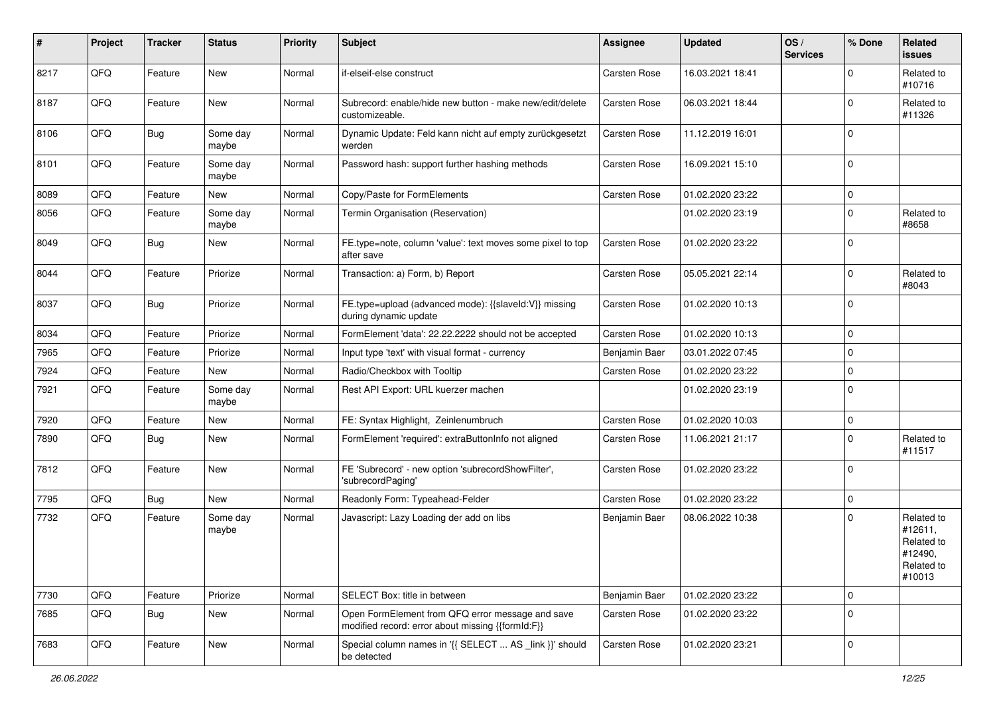| #    | Project | <b>Tracker</b> | <b>Status</b>     | <b>Priority</b> | Subject                                                                                               | <b>Assignee</b>     | <b>Updated</b>   | OS/<br><b>Services</b> | % Done      | Related<br>issues                                                      |
|------|---------|----------------|-------------------|-----------------|-------------------------------------------------------------------------------------------------------|---------------------|------------------|------------------------|-------------|------------------------------------------------------------------------|
| 8217 | QFQ     | Feature        | New               | Normal          | if-elseif-else construct                                                                              | Carsten Rose        | 16.03.2021 18:41 |                        | $\Omega$    | Related to<br>#10716                                                   |
| 8187 | QFQ     | Feature        | New               | Normal          | Subrecord: enable/hide new button - make new/edit/delete<br>customizeable.                            | <b>Carsten Rose</b> | 06.03.2021 18:44 |                        | $\Omega$    | Related to<br>#11326                                                   |
| 8106 | QFQ     | <b>Bug</b>     | Some day<br>maybe | Normal          | Dynamic Update: Feld kann nicht auf empty zurückgesetzt<br>werden                                     | <b>Carsten Rose</b> | 11.12.2019 16:01 |                        | $\Omega$    |                                                                        |
| 8101 | QFQ     | Feature        | Some day<br>maybe | Normal          | Password hash: support further hashing methods                                                        | <b>Carsten Rose</b> | 16.09.2021 15:10 |                        | $\Omega$    |                                                                        |
| 8089 | QFQ     | Feature        | New               | Normal          | Copy/Paste for FormElements                                                                           | <b>Carsten Rose</b> | 01.02.2020 23:22 |                        | $\Omega$    |                                                                        |
| 8056 | QFQ     | Feature        | Some day<br>maybe | Normal          | Termin Organisation (Reservation)                                                                     |                     | 01.02.2020 23:19 |                        | $\Omega$    | Related to<br>#8658                                                    |
| 8049 | QFQ     | <b>Bug</b>     | New               | Normal          | FE.type=note, column 'value': text moves some pixel to top<br>after save                              | <b>Carsten Rose</b> | 01.02.2020 23:22 |                        | $\mathbf 0$ |                                                                        |
| 8044 | QFQ     | Feature        | Priorize          | Normal          | Transaction: a) Form, b) Report                                                                       | <b>Carsten Rose</b> | 05.05.2021 22:14 |                        | $\Omega$    | Related to<br>#8043                                                    |
| 8037 | QFQ     | Bug            | Priorize          | Normal          | FE.type=upload (advanced mode): {{slaveId:V}} missing<br>during dynamic update                        | <b>Carsten Rose</b> | 01.02.2020 10:13 |                        | $\Omega$    |                                                                        |
| 8034 | QFQ     | Feature        | Priorize          | Normal          | FormElement 'data': 22.22.2222 should not be accepted                                                 | <b>Carsten Rose</b> | 01.02.2020 10:13 |                        | $\mathbf 0$ |                                                                        |
| 7965 | QFQ     | Feature        | Priorize          | Normal          | Input type 'text' with visual format - currency                                                       | Benjamin Baer       | 03.01.2022 07:45 |                        | $\Omega$    |                                                                        |
| 7924 | QFQ     | Feature        | <b>New</b>        | Normal          | Radio/Checkbox with Tooltip                                                                           | <b>Carsten Rose</b> | 01.02.2020 23:22 |                        | $\Omega$    |                                                                        |
| 7921 | QFQ     | Feature        | Some day<br>maybe | Normal          | Rest API Export: URL kuerzer machen                                                                   |                     | 01.02.2020 23:19 |                        | $\Omega$    |                                                                        |
| 7920 | QFQ     | Feature        | <b>New</b>        | Normal          | FE: Syntax Highlight, Zeinlenumbruch                                                                  | Carsten Rose        | 01.02.2020 10:03 |                        | $\mathbf 0$ |                                                                        |
| 7890 | QFQ     | Bug            | New               | Normal          | FormElement 'required': extraButtonInfo not aligned                                                   | Carsten Rose        | 11.06.2021 21:17 |                        | $\Omega$    | Related to<br>#11517                                                   |
| 7812 | QFQ     | Feature        | <b>New</b>        | Normal          | FE 'Subrecord' - new option 'subrecordShowFilter',<br>'subrecordPaging'                               | <b>Carsten Rose</b> | 01.02.2020 23:22 |                        | $\Omega$    |                                                                        |
| 7795 | QFQ     | <b>Bug</b>     | New               | Normal          | Readonly Form: Typeahead-Felder                                                                       | <b>Carsten Rose</b> | 01.02.2020 23:22 |                        | $\mathbf 0$ |                                                                        |
| 7732 | QFQ     | Feature        | Some day<br>maybe | Normal          | Javascript: Lazy Loading der add on libs                                                              | Benjamin Baer       | 08.06.2022 10:38 |                        | $\Omega$    | Related to<br>#12611,<br>Related to<br>#12490,<br>Related to<br>#10013 |
| 7730 | QFQ     | Feature        | Priorize          | Normal          | SELECT Box: title in between                                                                          | Benjamin Baer       | 01.02.2020 23:22 |                        | $\mathbf 0$ |                                                                        |
| 7685 | QFQ     | <b>Bug</b>     | New               | Normal          | Open FormElement from QFQ error message and save<br>modified record: error about missing {{formId:F}} | Carsten Rose        | 01.02.2020 23:22 |                        | $\Omega$    |                                                                        |
| 7683 | QFG     | Feature        | New               | Normal          | Special column names in '{{ SELECT  AS _link }}' should<br>be detected                                | Carsten Rose        | 01.02.2020 23:21 |                        | $\mathbf 0$ |                                                                        |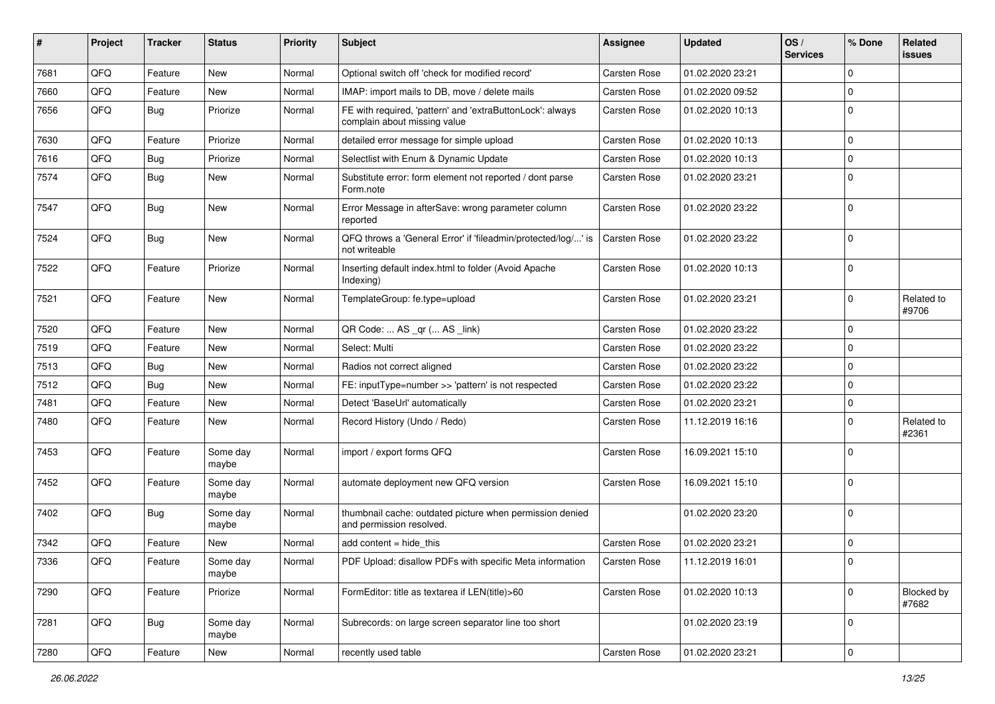| ∦    | Project | <b>Tracker</b> | <b>Status</b>     | <b>Priority</b> | Subject                                                                                   | <b>Assignee</b>     | <b>Updated</b>   | OS/<br><b>Services</b> | % Done              | Related<br>issues   |
|------|---------|----------------|-------------------|-----------------|-------------------------------------------------------------------------------------------|---------------------|------------------|------------------------|---------------------|---------------------|
| 7681 | QFQ     | Feature        | New               | Normal          | Optional switch off 'check for modified record'                                           | <b>Carsten Rose</b> | 01.02.2020 23:21 |                        | 0                   |                     |
| 7660 | QFQ     | Feature        | New               | Normal          | IMAP: import mails to DB, move / delete mails                                             | <b>Carsten Rose</b> | 01.02.2020 09:52 |                        | $\mathbf 0$         |                     |
| 7656 | QFQ     | <b>Bug</b>     | Priorize          | Normal          | FE with required, 'pattern' and 'extraButtonLock': always<br>complain about missing value | <b>Carsten Rose</b> | 01.02.2020 10:13 |                        | $\mathbf 0$         |                     |
| 7630 | QFQ     | Feature        | Priorize          | Normal          | detailed error message for simple upload                                                  | <b>Carsten Rose</b> | 01.02.2020 10:13 |                        | $\mathbf 0$         |                     |
| 7616 | QFQ     | <b>Bug</b>     | Priorize          | Normal          | Selectlist with Enum & Dynamic Update                                                     | Carsten Rose        | 01.02.2020 10:13 |                        | $\mathbf 0$         |                     |
| 7574 | QFQ     | Bug            | New               | Normal          | Substitute error: form element not reported / dont parse<br>Form.note                     | <b>Carsten Rose</b> | 01.02.2020 23:21 |                        | $\mathbf 0$         |                     |
| 7547 | QFQ     | <b>Bug</b>     | New               | Normal          | Error Message in afterSave: wrong parameter column<br>reported                            | <b>Carsten Rose</b> | 01.02.2020 23:22 |                        | $\mathbf 0$         |                     |
| 7524 | QFQ     | Bug            | <b>New</b>        | Normal          | QFQ throws a 'General Error' if 'fileadmin/protected/log/' is<br>not writeable            | <b>Carsten Rose</b> | 01.02.2020 23:22 |                        | $\mathbf 0$         |                     |
| 7522 | QFQ     | Feature        | Priorize          | Normal          | Inserting default index.html to folder (Avoid Apache<br>Indexing)                         | Carsten Rose        | 01.02.2020 10:13 |                        | $\Omega$            |                     |
| 7521 | QFQ     | Feature        | <b>New</b>        | Normal          | TemplateGroup: fe.type=upload                                                             | <b>Carsten Rose</b> | 01.02.2020 23:21 |                        | $\mathbf 0$         | Related to<br>#9706 |
| 7520 | QFQ     | Feature        | New               | Normal          | QR Code:  AS _qr ( AS _link)                                                              | <b>Carsten Rose</b> | 01.02.2020 23:22 |                        | $\mathbf 0$         |                     |
| 7519 | QFQ     | Feature        | New               | Normal          | Select: Multi                                                                             | <b>Carsten Rose</b> | 01.02.2020 23:22 |                        | $\mathbf 0$         |                     |
| 7513 | QFQ     | <b>Bug</b>     | New               | Normal          | Radios not correct aligned                                                                | Carsten Rose        | 01.02.2020 23:22 |                        | $\mathbf 0$         |                     |
| 7512 | QFQ     | <b>Bug</b>     | <b>New</b>        | Normal          | FE: inputType=number >> 'pattern' is not respected                                        | <b>Carsten Rose</b> | 01.02.2020 23:22 |                        | $\mathbf 0$         |                     |
| 7481 | QFQ     | Feature        | New               | Normal          | Detect 'BaseUrl' automatically                                                            | <b>Carsten Rose</b> | 01.02.2020 23:21 |                        | 0                   |                     |
| 7480 | QFQ     | Feature        | New               | Normal          | Record History (Undo / Redo)                                                              | Carsten Rose        | 11.12.2019 16:16 |                        | $\mathbf 0$         | Related to<br>#2361 |
| 7453 | QFQ     | Feature        | Some day<br>maybe | Normal          | import / export forms QFQ                                                                 | <b>Carsten Rose</b> | 16.09.2021 15:10 |                        | $\mathbf 0$         |                     |
| 7452 | QFQ     | Feature        | Some day<br>maybe | Normal          | automate deployment new QFQ version                                                       | <b>Carsten Rose</b> | 16.09.2021 15:10 |                        | $\mathbf 0$         |                     |
| 7402 | QFQ     | Bug            | Some day<br>maybe | Normal          | thumbnail cache: outdated picture when permission denied<br>and permission resolved.      |                     | 01.02.2020 23:20 |                        | $\mathbf 0$         |                     |
| 7342 | QFG     | Feature        | New               | Normal          | add content = hide_this                                                                   | <b>Carsten Rose</b> | 01.02.2020 23:21 |                        | 0                   |                     |
| 7336 | QFQ     | Feature        | Some day<br>maybe | Normal          | PDF Upload: disallow PDFs with specific Meta information                                  | Carsten Rose        | 11.12.2019 16:01 |                        | 0                   |                     |
| 7290 | QFQ     | Feature        | Priorize          | Normal          | FormEditor: title as textarea if LEN(title)>60                                            | <b>Carsten Rose</b> | 01.02.2020 10:13 |                        | $\mathbf 0$         | Blocked by<br>#7682 |
| 7281 | QFQ     | <b>Bug</b>     | Some day<br>maybe | Normal          | Subrecords: on large screen separator line too short                                      |                     | 01.02.2020 23:19 |                        | $\mathbf 0$         |                     |
| 7280 | QFQ     | Feature        | New               | Normal          | recently used table                                                                       | Carsten Rose        | 01.02.2020 23:21 |                        | $\mathsf{O}\xspace$ |                     |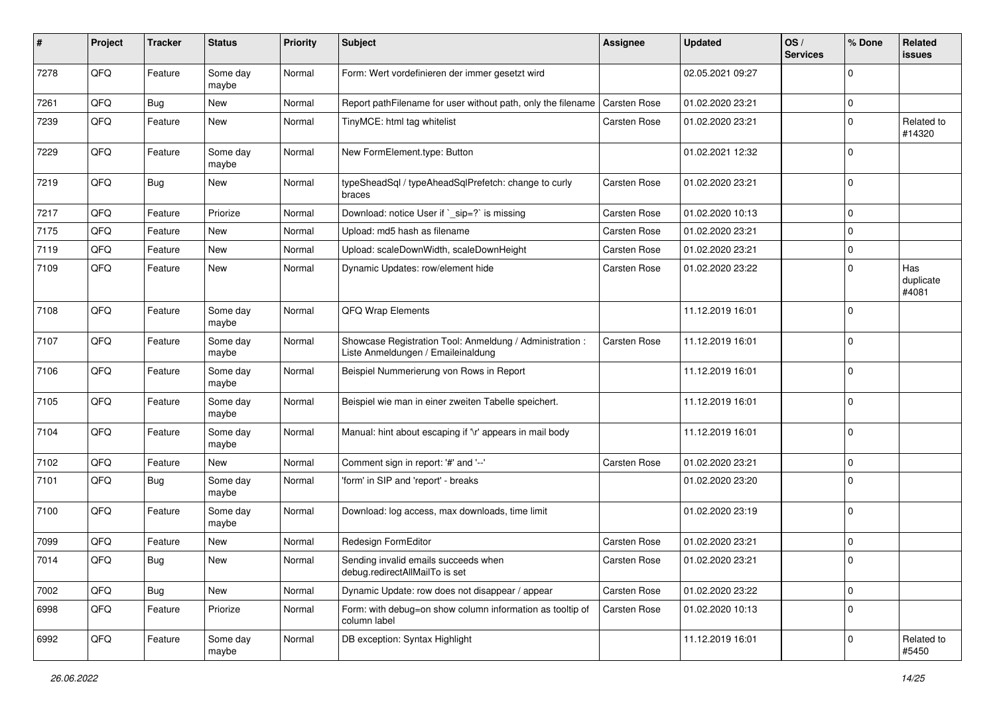| ∦    | Project | <b>Tracker</b> | <b>Status</b>     | <b>Priority</b> | <b>Subject</b>                                                                                 | <b>Assignee</b>     | <b>Updated</b>   | OS/<br><b>Services</b> | % Done      | Related<br>issues         |
|------|---------|----------------|-------------------|-----------------|------------------------------------------------------------------------------------------------|---------------------|------------------|------------------------|-------------|---------------------------|
| 7278 | QFQ     | Feature        | Some day<br>maybe | Normal          | Form: Wert vordefinieren der immer gesetzt wird                                                |                     | 02.05.2021 09:27 |                        | $\Omega$    |                           |
| 7261 | QFQ     | <b>Bug</b>     | <b>New</b>        | Normal          | Report pathFilename for user without path, only the filename                                   | Carsten Rose        | 01.02.2020 23:21 |                        | $\mathbf 0$ |                           |
| 7239 | QFQ     | Feature        | New               | Normal          | TinyMCE: html tag whitelist                                                                    | Carsten Rose        | 01.02.2020 23:21 |                        | $\Omega$    | Related to<br>#14320      |
| 7229 | QFQ     | Feature        | Some day<br>maybe | Normal          | New FormElement.type: Button                                                                   |                     | 01.02.2021 12:32 |                        | $\Omega$    |                           |
| 7219 | QFQ     | Bug            | New               | Normal          | typeSheadSql / typeAheadSqlPrefetch: change to curly<br>braces                                 | Carsten Rose        | 01.02.2020 23:21 |                        | $\Omega$    |                           |
| 7217 | QFQ     | Feature        | Priorize          | Normal          | Download: notice User if `_sip=?` is missing                                                   | Carsten Rose        | 01.02.2020 10:13 |                        | 0           |                           |
| 7175 | QFQ     | Feature        | <b>New</b>        | Normal          | Upload: md5 hash as filename                                                                   | Carsten Rose        | 01.02.2020 23:21 |                        | $\Omega$    |                           |
| 7119 | QFQ     | Feature        | <b>New</b>        | Normal          | Upload: scaleDownWidth, scaleDownHeight                                                        | <b>Carsten Rose</b> | 01.02.2020 23:21 |                        | $\mathbf 0$ |                           |
| 7109 | QFQ     | Feature        | <b>New</b>        | Normal          | Dynamic Updates: row/element hide                                                              | Carsten Rose        | 01.02.2020 23:22 |                        | $\Omega$    | Has<br>duplicate<br>#4081 |
| 7108 | QFQ     | Feature        | Some day<br>maybe | Normal          | QFQ Wrap Elements                                                                              |                     | 11.12.2019 16:01 |                        | $\Omega$    |                           |
| 7107 | QFQ     | Feature        | Some day<br>maybe | Normal          | Showcase Registration Tool: Anmeldung / Administration :<br>Liste Anmeldungen / Emaileinaldung | Carsten Rose        | 11.12.2019 16:01 |                        | $\mathbf 0$ |                           |
| 7106 | QFQ     | Feature        | Some day<br>maybe | Normal          | Beispiel Nummerierung von Rows in Report                                                       |                     | 11.12.2019 16:01 |                        | $\mathbf 0$ |                           |
| 7105 | QFQ     | Feature        | Some day<br>maybe | Normal          | Beispiel wie man in einer zweiten Tabelle speichert.                                           |                     | 11.12.2019 16:01 |                        | $\Omega$    |                           |
| 7104 | QFQ     | Feature        | Some day<br>maybe | Normal          | Manual: hint about escaping if '\r' appears in mail body                                       |                     | 11.12.2019 16:01 |                        | $\Omega$    |                           |
| 7102 | QFQ     | Feature        | <b>New</b>        | Normal          | Comment sign in report: '#' and '--'                                                           | <b>Carsten Rose</b> | 01.02.2020 23:21 |                        | $\mathbf 0$ |                           |
| 7101 | QFQ     | Bug            | Some day<br>maybe | Normal          | 'form' in SIP and 'report' - breaks                                                            |                     | 01.02.2020 23:20 |                        | $\Omega$    |                           |
| 7100 | QFQ     | Feature        | Some day<br>maybe | Normal          | Download: log access, max downloads, time limit                                                |                     | 01.02.2020 23:19 |                        | $\mathbf 0$ |                           |
| 7099 | QFQ     | Feature        | <b>New</b>        | Normal          | Redesign FormEditor                                                                            | <b>Carsten Rose</b> | 01.02.2020 23:21 |                        | $\Omega$    |                           |
| 7014 | QFQ     | Bug            | New               | Normal          | Sending invalid emails succeeds when<br>debug.redirectAllMailTo is set                         | Carsten Rose        | 01.02.2020 23:21 |                        | $\Omega$    |                           |
| 7002 | QFQ     | Bug            | New               | Normal          | Dynamic Update: row does not disappear / appear                                                | Carsten Rose        | 01.02.2020 23:22 |                        | 0           |                           |
| 6998 | QFQ     | Feature        | Priorize          | Normal          | Form: with debug=on show column information as tooltip of<br>column label                      | Carsten Rose        | 01.02.2020 10:13 |                        | 0           |                           |
| 6992 | QFG     | Feature        | Some day<br>maybe | Normal          | DB exception: Syntax Highlight                                                                 |                     | 11.12.2019 16:01 |                        | 0           | Related to<br>#5450       |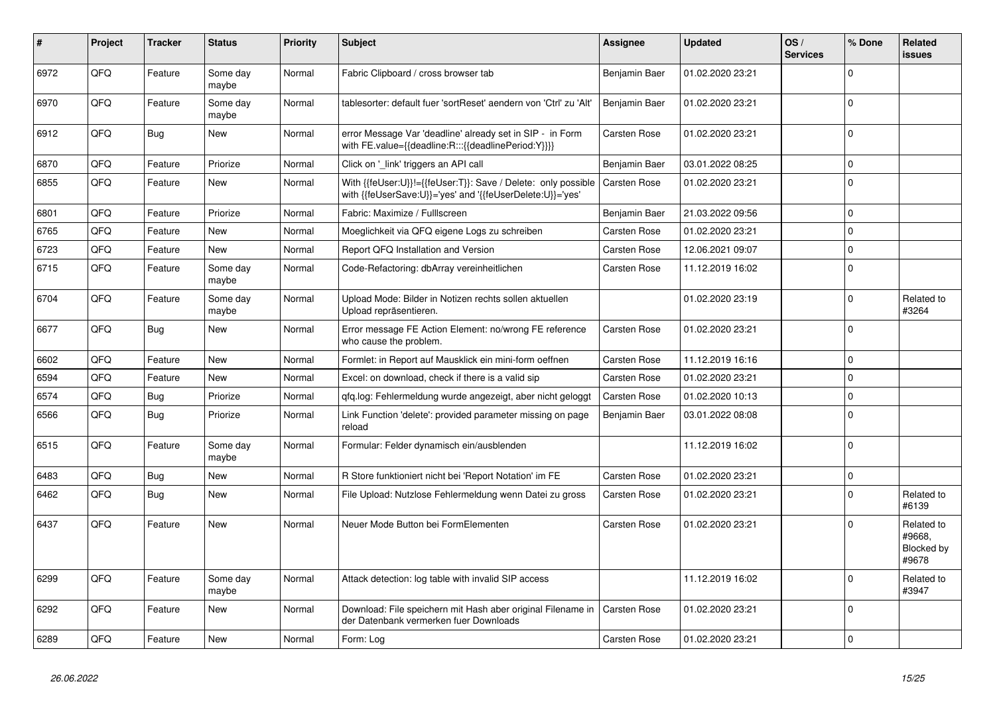| ∦    | Project | Tracker    | <b>Status</b>     | <b>Priority</b> | <b>Subject</b>                                                                                                             | Assignee            | Updated          | OS/<br><b>Services</b> | % Done      | Related<br>issues                           |
|------|---------|------------|-------------------|-----------------|----------------------------------------------------------------------------------------------------------------------------|---------------------|------------------|------------------------|-------------|---------------------------------------------|
| 6972 | QFQ     | Feature    | Some day<br>maybe | Normal          | Fabric Clipboard / cross browser tab                                                                                       | Benjamin Baer       | 01.02.2020 23:21 |                        | $\Omega$    |                                             |
| 6970 | QFQ     | Feature    | Some day<br>maybe | Normal          | tablesorter: default fuer 'sortReset' aendern von 'Ctrl' zu 'Alt'                                                          | Benjamin Baer       | 01.02.2020 23:21 |                        | $\Omega$    |                                             |
| 6912 | QFQ     | <b>Bug</b> | New               | Normal          | error Message Var 'deadline' already set in SIP - in Form<br>with FE.value={{deadline:R:::{{deadlinePeriod:Y}}}}           | <b>Carsten Rose</b> | 01.02.2020 23:21 |                        | $\Omega$    |                                             |
| 6870 | QFQ     | Feature    | Priorize          | Normal          | Click on 'link' triggers an API call                                                                                       | Benjamin Baer       | 03.01.2022 08:25 |                        | $\Omega$    |                                             |
| 6855 | QFQ     | Feature    | <b>New</b>        | Normal          | With {{feUser:U}}!={{feUser:T}}: Save / Delete: only possible<br>with {{feUserSave:U}}='yes' and '{{feUserDelete:U}}='yes' | <b>Carsten Rose</b> | 01.02.2020 23:21 |                        | $\Omega$    |                                             |
| 6801 | QFQ     | Feature    | Priorize          | Normal          | Fabric: Maximize / FullIscreen                                                                                             | Benjamin Baer       | 21.03.2022 09:56 |                        | $\Omega$    |                                             |
| 6765 | QFQ     | Feature    | <b>New</b>        | Normal          | Moeglichkeit via QFQ eigene Logs zu schreiben                                                                              | Carsten Rose        | 01.02.2020 23:21 |                        | $\Omega$    |                                             |
| 6723 | QFQ     | Feature    | <b>New</b>        | Normal          | Report QFQ Installation and Version                                                                                        | Carsten Rose        | 12.06.2021 09:07 |                        | $\Omega$    |                                             |
| 6715 | QFQ     | Feature    | Some day<br>maybe | Normal          | Code-Refactoring: dbArray vereinheitlichen                                                                                 | <b>Carsten Rose</b> | 11.12.2019 16:02 |                        | $\Omega$    |                                             |
| 6704 | QFQ     | Feature    | Some day<br>maybe | Normal          | Upload Mode: Bilder in Notizen rechts sollen aktuellen<br>Upload repräsentieren.                                           |                     | 01.02.2020 23:19 |                        | $\Omega$    | Related to<br>#3264                         |
| 6677 | QFQ     | Bug        | <b>New</b>        | Normal          | Error message FE Action Element: no/wrong FE reference<br>who cause the problem.                                           | <b>Carsten Rose</b> | 01.02.2020 23:21 |                        | $\Omega$    |                                             |
| 6602 | QFQ     | Feature    | <b>New</b>        | Normal          | Formlet: in Report auf Mausklick ein mini-form oeffnen                                                                     | <b>Carsten Rose</b> | 11.12.2019 16:16 |                        | $\Omega$    |                                             |
| 6594 | QFQ     | Feature    | <b>New</b>        | Normal          | Excel: on download, check if there is a valid sip                                                                          | <b>Carsten Rose</b> | 01.02.2020 23:21 |                        | $\Omega$    |                                             |
| 6574 | QFQ     | Bug        | Priorize          | Normal          | qfq.log: Fehlermeldung wurde angezeigt, aber nicht geloggt                                                                 | Carsten Rose        | 01.02.2020 10:13 |                        | $\mathbf 0$ |                                             |
| 6566 | QFQ     | Bug        | Priorize          | Normal          | Link Function 'delete': provided parameter missing on page<br>reload                                                       | Benjamin Baer       | 03.01.2022 08:08 |                        | $\Omega$    |                                             |
| 6515 | QFQ     | Feature    | Some day<br>maybe | Normal          | Formular: Felder dynamisch ein/ausblenden                                                                                  |                     | 11.12.2019 16:02 |                        | $\Omega$    |                                             |
| 6483 | QFQ     | Bug        | <b>New</b>        | Normal          | R Store funktioniert nicht bei 'Report Notation' im FE                                                                     | <b>Carsten Rose</b> | 01.02.2020 23:21 |                        | $\Omega$    |                                             |
| 6462 | QFQ     | <b>Bug</b> | <b>New</b>        | Normal          | File Upload: Nutzlose Fehlermeldung wenn Datei zu gross                                                                    | <b>Carsten Rose</b> | 01.02.2020 23:21 |                        | $\Omega$    | Related to<br>#6139                         |
| 6437 | QFQ     | Feature    | <b>New</b>        | Normal          | Neuer Mode Button bei FormElementen                                                                                        | <b>Carsten Rose</b> | 01.02.2020 23:21 |                        | $\Omega$    | Related to<br>#9668,<br>Blocked by<br>#9678 |
| 6299 | QFQ     | Feature    | Some day<br>maybe | Normal          | Attack detection: log table with invalid SIP access                                                                        |                     | 11.12.2019 16:02 |                        | $\Omega$    | Related to<br>#3947                         |
| 6292 | QFQ     | Feature    | <b>New</b>        | Normal          | Download: File speichern mit Hash aber original Filename in<br>der Datenbank vermerken fuer Downloads                      | Carsten Rose        | 01.02.2020 23:21 |                        | $\Omega$    |                                             |
| 6289 | QFQ     | Feature    | <b>New</b>        | Normal          | Form: Log                                                                                                                  | <b>Carsten Rose</b> | 01.02.2020 23:21 |                        | $\Omega$    |                                             |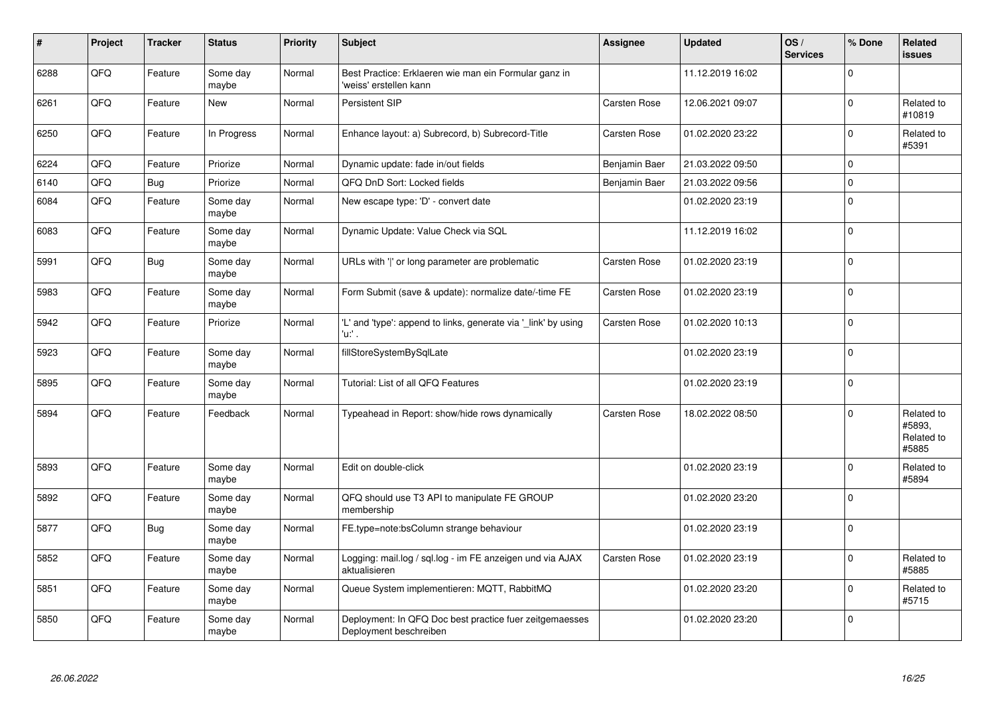| #    | Project | <b>Tracker</b> | <b>Status</b>     | <b>Priority</b> | <b>Subject</b>                                                                    | Assignee            | <b>Updated</b>   | OS/<br><b>Services</b> | % Done   | Related<br><b>issues</b>                    |
|------|---------|----------------|-------------------|-----------------|-----------------------------------------------------------------------------------|---------------------|------------------|------------------------|----------|---------------------------------------------|
| 6288 | QFQ     | Feature        | Some day<br>maybe | Normal          | Best Practice: Erklaeren wie man ein Formular ganz in<br>'weiss' erstellen kann   |                     | 11.12.2019 16:02 |                        | $\Omega$ |                                             |
| 6261 | QFQ     | Feature        | New               | Normal          | Persistent SIP                                                                    | <b>Carsten Rose</b> | 12.06.2021 09:07 |                        | $\Omega$ | Related to<br>#10819                        |
| 6250 | QFQ     | Feature        | In Progress       | Normal          | Enhance layout: a) Subrecord, b) Subrecord-Title                                  | Carsten Rose        | 01.02.2020 23:22 |                        | $\Omega$ | Related to<br>#5391                         |
| 6224 | QFQ     | Feature        | Priorize          | Normal          | Dynamic update: fade in/out fields                                                | Benjamin Baer       | 21.03.2022 09:50 |                        | 0        |                                             |
| 6140 | QFQ     | Bug            | Priorize          | Normal          | QFQ DnD Sort: Locked fields                                                       | Benjamin Baer       | 21.03.2022 09:56 |                        | $\Omega$ |                                             |
| 6084 | QFQ     | Feature        | Some day<br>maybe | Normal          | New escape type: 'D' - convert date                                               |                     | 01.02.2020 23:19 |                        | $\Omega$ |                                             |
| 6083 | QFQ     | Feature        | Some day<br>maybe | Normal          | Dynamic Update: Value Check via SQL                                               |                     | 11.12.2019 16:02 |                        | $\Omega$ |                                             |
| 5991 | QFQ     | <b>Bug</b>     | Some day<br>maybe | Normal          | URLs with 'I' or long parameter are problematic                                   | Carsten Rose        | 01.02.2020 23:19 |                        | $\Omega$ |                                             |
| 5983 | QFQ     | Feature        | Some day<br>maybe | Normal          | Form Submit (save & update): normalize date/-time FE                              | Carsten Rose        | 01.02.2020 23:19 |                        | $\Omega$ |                                             |
| 5942 | QFQ     | Feature        | Priorize          | Normal          | 'L' and 'type': append to links, generate via '_link' by using<br>'u:' .          | Carsten Rose        | 01.02.2020 10:13 |                        | $\Omega$ |                                             |
| 5923 | QFQ     | Feature        | Some day<br>maybe | Normal          | fillStoreSystemBySqlLate                                                          |                     | 01.02.2020 23:19 |                        | $\Omega$ |                                             |
| 5895 | QFQ     | Feature        | Some day<br>maybe | Normal          | Tutorial: List of all QFQ Features                                                |                     | 01.02.2020 23:19 |                        | $\Omega$ |                                             |
| 5894 | QFQ     | Feature        | Feedback          | Normal          | Typeahead in Report: show/hide rows dynamically                                   | Carsten Rose        | 18.02.2022 08:50 |                        | $\Omega$ | Related to<br>#5893,<br>Related to<br>#5885 |
| 5893 | QFQ     | Feature        | Some day<br>maybe | Normal          | Edit on double-click                                                              |                     | 01.02.2020 23:19 |                        | $\Omega$ | Related to<br>#5894                         |
| 5892 | QFQ     | Feature        | Some day<br>maybe | Normal          | QFQ should use T3 API to manipulate FE GROUP<br>membership                        |                     | 01.02.2020 23:20 |                        | $\Omega$ |                                             |
| 5877 | QFQ     | Bug            | Some day<br>maybe | Normal          | FE.type=note:bsColumn strange behaviour                                           |                     | 01.02.2020 23:19 |                        | $\Omega$ |                                             |
| 5852 | QFQ     | Feature        | Some day<br>maybe | Normal          | Logging: mail.log / sql.log - im FE anzeigen und via AJAX<br>aktualisieren        | Carsten Rose        | 01.02.2020 23:19 |                        | $\Omega$ | Related to<br>#5885                         |
| 5851 | QFQ     | Feature        | Some day<br>maybe | Normal          | Queue System implementieren: MQTT, RabbitMQ                                       |                     | 01.02.2020 23:20 |                        | $\Omega$ | Related to<br>#5715                         |
| 5850 | QFQ     | Feature        | Some day<br>maybe | Normal          | Deployment: In QFQ Doc best practice fuer zeitgemaesses<br>Deployment beschreiben |                     | 01.02.2020 23:20 |                        | $\Omega$ |                                             |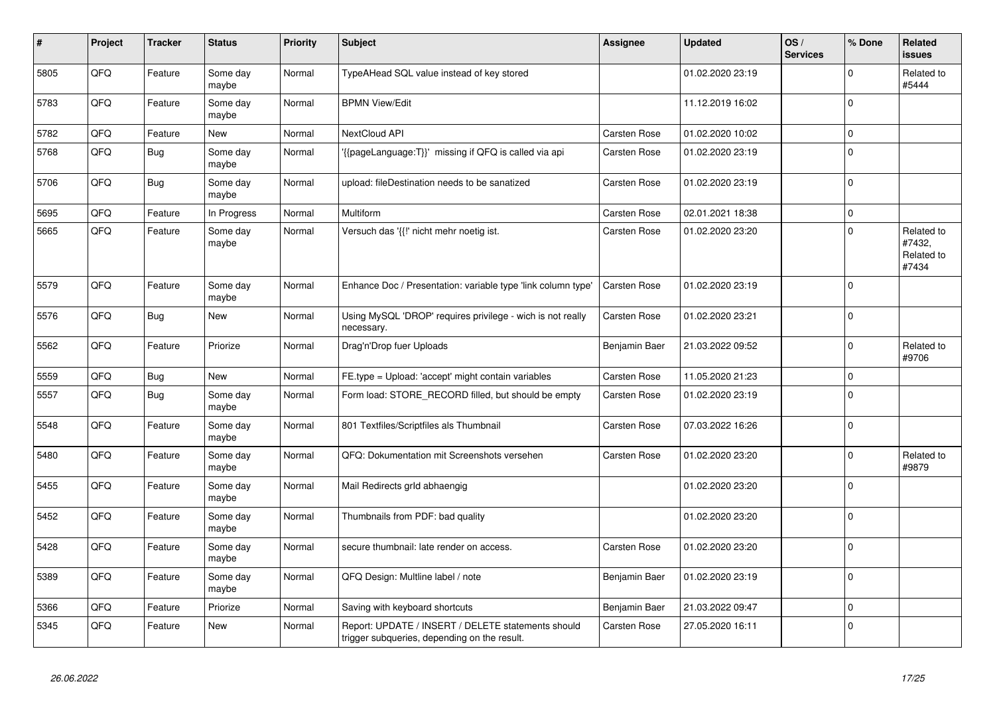| $\pmb{\sharp}$ | Project | <b>Tracker</b> | <b>Status</b>     | <b>Priority</b> | <b>Subject</b>                                                                                     | <b>Assignee</b> | <b>Updated</b>   | OS/<br><b>Services</b> | % Done      | Related<br>issues                           |
|----------------|---------|----------------|-------------------|-----------------|----------------------------------------------------------------------------------------------------|-----------------|------------------|------------------------|-------------|---------------------------------------------|
| 5805           | QFQ     | Feature        | Some day<br>maybe | Normal          | TypeAHead SQL value instead of key stored                                                          |                 | 01.02.2020 23:19 |                        | $\Omega$    | Related to<br>#5444                         |
| 5783           | QFQ     | Feature        | Some day<br>maybe | Normal          | <b>BPMN View/Edit</b>                                                                              |                 | 11.12.2019 16:02 |                        | 0           |                                             |
| 5782           | QFQ     | Feature        | New               | Normal          | NextCloud API                                                                                      | Carsten Rose    | 01.02.2020 10:02 |                        | $\mathbf 0$ |                                             |
| 5768           | QFQ     | <b>Bug</b>     | Some day<br>maybe | Normal          | '{{pageLanguage:T}}' missing if QFQ is called via api                                              | Carsten Rose    | 01.02.2020 23:19 |                        | $\pmb{0}$   |                                             |
| 5706           | QFQ     | <b>Bug</b>     | Some day<br>maybe | Normal          | upload: fileDestination needs to be sanatized                                                      | Carsten Rose    | 01.02.2020 23:19 |                        | $\Omega$    |                                             |
| 5695           | QFQ     | Feature        | In Progress       | Normal          | Multiform                                                                                          | Carsten Rose    | 02.01.2021 18:38 |                        | $\mathbf 0$ |                                             |
| 5665           | QFQ     | Feature        | Some day<br>maybe | Normal          | Versuch das '{{!' nicht mehr noetig ist.                                                           | Carsten Rose    | 01.02.2020 23:20 |                        | $\Omega$    | Related to<br>#7432.<br>Related to<br>#7434 |
| 5579           | QFQ     | Feature        | Some day<br>maybe | Normal          | Enhance Doc / Presentation: variable type 'link column type'                                       | Carsten Rose    | 01.02.2020 23:19 |                        | $\Omega$    |                                             |
| 5576           | QFQ     | <b>Bug</b>     | <b>New</b>        | Normal          | Using MySQL 'DROP' requires privilege - wich is not really<br>necessary.                           | Carsten Rose    | 01.02.2020 23:21 |                        | $\mathbf 0$ |                                             |
| 5562           | QFQ     | Feature        | Priorize          | Normal          | Drag'n'Drop fuer Uploads                                                                           | Benjamin Baer   | 21.03.2022 09:52 |                        | $\Omega$    | Related to<br>#9706                         |
| 5559           | QFQ     | <b>Bug</b>     | New               | Normal          | FE.type = Upload: 'accept' might contain variables                                                 | Carsten Rose    | 11.05.2020 21:23 |                        | $\mathbf 0$ |                                             |
| 5557           | QFQ     | <b>Bug</b>     | Some day<br>maybe | Normal          | Form load: STORE RECORD filled, but should be empty                                                | Carsten Rose    | 01.02.2020 23:19 |                        | 0           |                                             |
| 5548           | QFQ     | Feature        | Some day<br>maybe | Normal          | 801 Textfiles/Scriptfiles als Thumbnail                                                            | Carsten Rose    | 07.03.2022 16:26 |                        | $\mathbf 0$ |                                             |
| 5480           | QFQ     | Feature        | Some day<br>maybe | Normal          | QFQ: Dokumentation mit Screenshots versehen                                                        | Carsten Rose    | 01.02.2020 23:20 |                        | $\mathbf 0$ | Related to<br>#9879                         |
| 5455           | QFQ     | Feature        | Some day<br>maybe | Normal          | Mail Redirects grld abhaengig                                                                      |                 | 01.02.2020 23:20 |                        | $\Omega$    |                                             |
| 5452           | QFQ     | Feature        | Some day<br>maybe | Normal          | Thumbnails from PDF: bad quality                                                                   |                 | 01.02.2020 23:20 |                        | $\mathbf 0$ |                                             |
| 5428           | QFQ     | Feature        | Some day<br>maybe | Normal          | secure thumbnail: late render on access.                                                           | Carsten Rose    | 01.02.2020 23:20 |                        | $\mathbf 0$ |                                             |
| 5389           | QFQ     | Feature        | Some day<br>maybe | Normal          | QFQ Design: Multline label / note                                                                  | Benjamin Baer   | 01.02.2020 23:19 |                        | $\Omega$    |                                             |
| 5366           | QFQ     | Feature        | Priorize          | Normal          | Saving with keyboard shortcuts                                                                     | Benjamin Baer   | 21.03.2022 09:47 |                        | $\mathbf 0$ |                                             |
| 5345           | QFQ     | Feature        | New               | Normal          | Report: UPDATE / INSERT / DELETE statements should<br>trigger subqueries, depending on the result. | Carsten Rose    | 27.05.2020 16:11 |                        | $\Omega$    |                                             |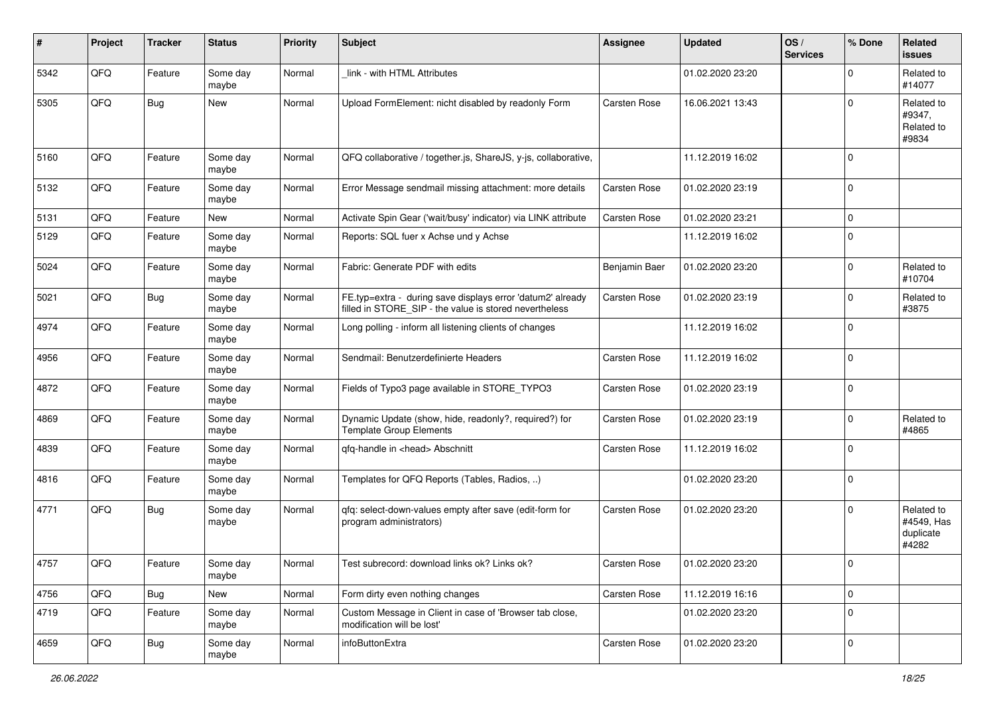| #    | Project | <b>Tracker</b> | <b>Status</b>     | <b>Priority</b> | <b>Subject</b>                                                                                                       | <b>Assignee</b> | <b>Updated</b>   | OS/<br><b>Services</b> | % Done       | Related<br><b>issues</b>                       |
|------|---------|----------------|-------------------|-----------------|----------------------------------------------------------------------------------------------------------------------|-----------------|------------------|------------------------|--------------|------------------------------------------------|
| 5342 | QFQ     | Feature        | Some day<br>maybe | Normal          | link - with HTML Attributes                                                                                          |                 | 01.02.2020 23:20 |                        | $\Omega$     | Related to<br>#14077                           |
| 5305 | QFQ     | <b>Bug</b>     | New               | Normal          | Upload FormElement: nicht disabled by readonly Form                                                                  | Carsten Rose    | 16.06.2021 13:43 |                        | $\mathbf 0$  | Related to<br>#9347,<br>Related to<br>#9834    |
| 5160 | QFQ     | Feature        | Some day<br>maybe | Normal          | QFQ collaborative / together.js, ShareJS, y-js, collaborative,                                                       |                 | 11.12.2019 16:02 |                        | $\Omega$     |                                                |
| 5132 | QFQ     | Feature        | Some day<br>maybe | Normal          | Error Message sendmail missing attachment: more details                                                              | Carsten Rose    | 01.02.2020 23:19 |                        | $\Omega$     |                                                |
| 5131 | QFQ     | Feature        | New               | Normal          | Activate Spin Gear ('wait/busy' indicator) via LINK attribute                                                        | Carsten Rose    | 01.02.2020 23:21 |                        | $\Omega$     |                                                |
| 5129 | QFQ     | Feature        | Some day<br>maybe | Normal          | Reports: SQL fuer x Achse und y Achse                                                                                |                 | 11.12.2019 16:02 |                        | $\Omega$     |                                                |
| 5024 | QFQ     | Feature        | Some day<br>maybe | Normal          | Fabric: Generate PDF with edits                                                                                      | Benjamin Baer   | 01.02.2020 23:20 |                        | $\Omega$     | Related to<br>#10704                           |
| 5021 | QFQ     | Bug            | Some day<br>maybe | Normal          | FE.typ=extra - during save displays error 'datum2' already<br>filled in STORE_SIP - the value is stored nevertheless | Carsten Rose    | 01.02.2020 23:19 |                        | $\Omega$     | Related to<br>#3875                            |
| 4974 | QFQ     | Feature        | Some day<br>maybe | Normal          | Long polling - inform all listening clients of changes                                                               |                 | 11.12.2019 16:02 |                        | $\mathbf 0$  |                                                |
| 4956 | QFQ     | Feature        | Some day<br>maybe | Normal          | Sendmail: Benutzerdefinierte Headers                                                                                 | Carsten Rose    | 11.12.2019 16:02 |                        | $\Omega$     |                                                |
| 4872 | QFQ     | Feature        | Some day<br>maybe | Normal          | Fields of Typo3 page available in STORE_TYPO3                                                                        | Carsten Rose    | 01.02.2020 23:19 |                        | $\Omega$     |                                                |
| 4869 | QFQ     | Feature        | Some day<br>maybe | Normal          | Dynamic Update (show, hide, readonly?, required?) for<br><b>Template Group Elements</b>                              | Carsten Rose    | 01.02.2020 23:19 |                        | 0            | Related to<br>#4865                            |
| 4839 | QFQ     | Feature        | Some day<br>maybe | Normal          | qfq-handle in <head> Abschnitt</head>                                                                                | Carsten Rose    | 11.12.2019 16:02 |                        | $\Omega$     |                                                |
| 4816 | QFQ     | Feature        | Some day<br>maybe | Normal          | Templates for QFQ Reports (Tables, Radios, )                                                                         |                 | 01.02.2020 23:20 |                        | $\mathbf 0$  |                                                |
| 4771 | QFQ     | Bug            | Some day<br>maybe | Normal          | qfq: select-down-values empty after save (edit-form for<br>program administrators)                                   | Carsten Rose    | 01.02.2020 23:20 |                        | $\Omega$     | Related to<br>#4549, Has<br>duplicate<br>#4282 |
| 4757 | QFQ     | Feature        | Some day<br>maybe | Normal          | Test subrecord: download links ok? Links ok?                                                                         | Carsten Rose    | 01.02.2020 23:20 |                        |              |                                                |
| 4756 | QFQ     | <b>Bug</b>     | New               | Normal          | Form dirty even nothing changes                                                                                      | Carsten Rose    | 11.12.2019 16:16 |                        | $\mathbf{0}$ |                                                |
| 4719 | QFQ     | Feature        | Some day<br>maybe | Normal          | Custom Message in Client in case of 'Browser tab close,<br>modification will be lost'                                |                 | 01.02.2020 23:20 |                        | 0            |                                                |
| 4659 | QFQ     | <b>Bug</b>     | Some day<br>maybe | Normal          | infoButtonExtra                                                                                                      | Carsten Rose    | 01.02.2020 23:20 |                        | 0            |                                                |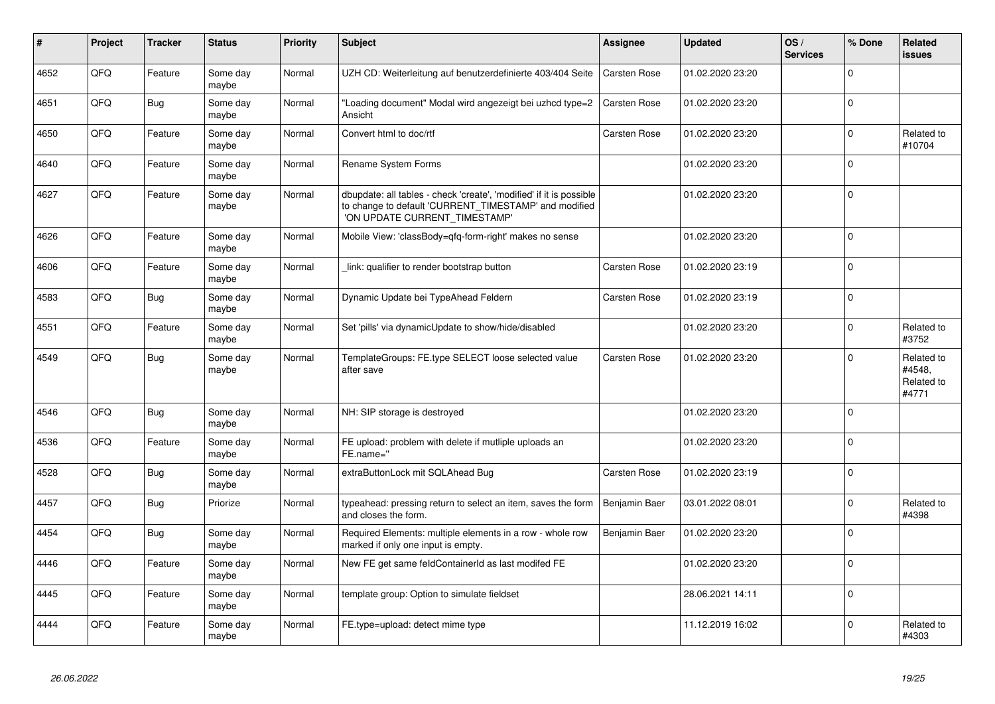| #    | Project | <b>Tracker</b> | <b>Status</b>     | <b>Priority</b> | <b>Subject</b>                                                                                                                                                | Assignee            | <b>Updated</b>   | OS/<br><b>Services</b> | % Done      | Related<br><b>issues</b>                    |
|------|---------|----------------|-------------------|-----------------|---------------------------------------------------------------------------------------------------------------------------------------------------------------|---------------------|------------------|------------------------|-------------|---------------------------------------------|
| 4652 | QFQ     | Feature        | Some day<br>maybe | Normal          | UZH CD: Weiterleitung auf benutzerdefinierte 403/404 Seite                                                                                                    | <b>Carsten Rose</b> | 01.02.2020 23:20 |                        | $\Omega$    |                                             |
| 4651 | QFQ     | Bug            | Some day<br>maybe | Normal          | 'Loading document" Modal wird angezeigt bei uzhcd type=2<br>Ansicht                                                                                           | <b>Carsten Rose</b> | 01.02.2020 23:20 |                        | $\Omega$    |                                             |
| 4650 | QFQ     | Feature        | Some day<br>maybe | Normal          | Convert html to doc/rtf                                                                                                                                       | Carsten Rose        | 01.02.2020 23:20 |                        | $\Omega$    | Related to<br>#10704                        |
| 4640 | QFQ     | Feature        | Some day<br>maybe | Normal          | Rename System Forms                                                                                                                                           |                     | 01.02.2020 23:20 |                        | $\Omega$    |                                             |
| 4627 | QFQ     | Feature        | Some day<br>maybe | Normal          | dbupdate: all tables - check 'create', 'modified' if it is possible<br>to change to default 'CURRENT_TIMESTAMP' and modified<br>'ON UPDATE CURRENT TIMESTAMP' |                     | 01.02.2020 23:20 |                        | $\Omega$    |                                             |
| 4626 | QFQ     | Feature        | Some day<br>maybe | Normal          | Mobile View: 'classBody=qfq-form-right' makes no sense                                                                                                        |                     | 01.02.2020 23:20 |                        | $\Omega$    |                                             |
| 4606 | QFQ     | Feature        | Some day<br>maybe | Normal          | link: qualifier to render bootstrap button                                                                                                                    | Carsten Rose        | 01.02.2020 23:19 |                        | $\Omega$    |                                             |
| 4583 | QFQ     | Bug            | Some day<br>maybe | Normal          | Dynamic Update bei TypeAhead Feldern                                                                                                                          | <b>Carsten Rose</b> | 01.02.2020 23:19 |                        | $\mathbf 0$ |                                             |
| 4551 | QFQ     | Feature        | Some day<br>maybe | Normal          | Set 'pills' via dynamicUpdate to show/hide/disabled                                                                                                           |                     | 01.02.2020 23:20 |                        | $\Omega$    | Related to<br>#3752                         |
| 4549 | QFQ     | Bug            | Some day<br>maybe | Normal          | TemplateGroups: FE.type SELECT loose selected value<br>after save                                                                                             | Carsten Rose        | 01.02.2020 23:20 |                        | $\Omega$    | Related to<br>#4548,<br>Related to<br>#4771 |
| 4546 | QFQ     | <b>Bug</b>     | Some day<br>maybe | Normal          | NH: SIP storage is destroyed                                                                                                                                  |                     | 01.02.2020 23:20 |                        | $\mathbf 0$ |                                             |
| 4536 | QFQ     | Feature        | Some day<br>maybe | Normal          | FE upload: problem with delete if mutliple uploads an<br>FE.name="                                                                                            |                     | 01.02.2020 23:20 |                        | $\Omega$    |                                             |
| 4528 | QFQ     | Bug            | Some day<br>maybe | Normal          | extraButtonLock mit SQLAhead Bug                                                                                                                              | Carsten Rose        | 01.02.2020 23:19 |                        | $\Omega$    |                                             |
| 4457 | QFQ     | <b>Bug</b>     | Priorize          | Normal          | typeahead: pressing return to select an item, saves the form<br>and closes the form.                                                                          | Benjamin Baer       | 03.01.2022 08:01 |                        | $\Omega$    | Related to<br>#4398                         |
| 4454 | QFQ     | Bug            | Some day<br>maybe | Normal          | Required Elements: multiple elements in a row - whole row<br>marked if only one input is empty.                                                               | Benjamin Baer       | 01.02.2020 23:20 |                        | $\Omega$    |                                             |
| 4446 | QFQ     | Feature        | Some day<br>maybe | Normal          | New FE get same feldContainerId as last modifed FE                                                                                                            |                     | 01.02.2020 23:20 |                        | $\Omega$    |                                             |
| 4445 | QFQ     | Feature        | Some day<br>maybe | Normal          | template group: Option to simulate fieldset                                                                                                                   |                     | 28.06.2021 14:11 |                        | $\mathbf 0$ |                                             |
| 4444 | QFQ     | Feature        | Some day<br>maybe | Normal          | FE.type=upload: detect mime type                                                                                                                              |                     | 11.12.2019 16:02 |                        | $\Omega$    | Related to<br>#4303                         |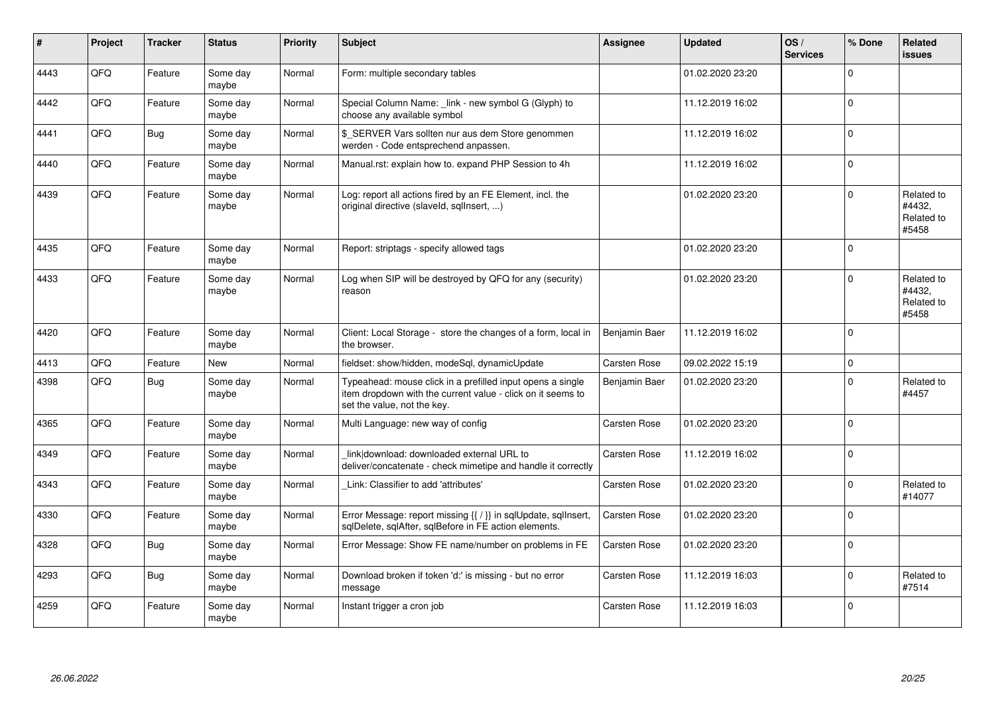| #    | <b>Project</b> | <b>Tracker</b> | <b>Status</b>     | <b>Priority</b> | <b>Subject</b>                                                                                                                                           | <b>Assignee</b>     | <b>Updated</b>   | OS/<br><b>Services</b> | % Done      | Related<br><b>issues</b>                    |
|------|----------------|----------------|-------------------|-----------------|----------------------------------------------------------------------------------------------------------------------------------------------------------|---------------------|------------------|------------------------|-------------|---------------------------------------------|
| 4443 | QFQ            | Feature        | Some day<br>maybe | Normal          | Form: multiple secondary tables                                                                                                                          |                     | 01.02.2020 23:20 |                        | $\Omega$    |                                             |
| 4442 | QFQ            | Feature        | Some day<br>maybe | Normal          | Special Column Name: link - new symbol G (Glyph) to<br>choose any available symbol                                                                       |                     | 11.12.2019 16:02 |                        | $\mathbf 0$ |                                             |
| 4441 | QFQ            | <b>Bug</b>     | Some day<br>maybe | Normal          | \$ SERVER Vars sollten nur aus dem Store genommen<br>werden - Code entsprechend anpassen.                                                                |                     | 11.12.2019 16:02 |                        | $\mathbf 0$ |                                             |
| 4440 | QFQ            | Feature        | Some day<br>maybe | Normal          | Manual.rst: explain how to. expand PHP Session to 4h                                                                                                     |                     | 11.12.2019 16:02 |                        | $\Omega$    |                                             |
| 4439 | QFQ            | Feature        | Some day<br>maybe | Normal          | Log: report all actions fired by an FE Element, incl. the<br>original directive (slaveld, sqllnsert, )                                                   |                     | 01.02.2020 23:20 |                        | $\Omega$    | Related to<br>#4432.<br>Related to<br>#5458 |
| 4435 | QFQ            | Feature        | Some day<br>maybe | Normal          | Report: striptags - specify allowed tags                                                                                                                 |                     | 01.02.2020 23:20 |                        | $\Omega$    |                                             |
| 4433 | QFQ            | Feature        | Some day<br>maybe | Normal          | Log when SIP will be destroyed by QFQ for any (security)<br>reason                                                                                       |                     | 01.02.2020 23:20 |                        | $\Omega$    | Related to<br>#4432,<br>Related to<br>#5458 |
| 4420 | QFQ            | Feature        | Some day<br>maybe | Normal          | Client: Local Storage - store the changes of a form, local in<br>the browser.                                                                            | Benjamin Baer       | 11.12.2019 16:02 |                        | $\mathbf 0$ |                                             |
| 4413 | QFQ            | Feature        | <b>New</b>        | Normal          | fieldset: show/hidden, modeSql, dynamicUpdate                                                                                                            | <b>Carsten Rose</b> | 09.02.2022 15:19 |                        | $\mathbf 0$ |                                             |
| 4398 | QFQ            | <b>Bug</b>     | Some day<br>maybe | Normal          | Typeahead: mouse click in a prefilled input opens a single<br>item dropdown with the current value - click on it seems to<br>set the value, not the key. | Benjamin Baer       | 01.02.2020 23:20 |                        | $\mathbf 0$ | Related to<br>#4457                         |
| 4365 | QFQ            | Feature        | Some day<br>maybe | Normal          | Multi Language: new way of config                                                                                                                        | Carsten Rose        | 01.02.2020 23:20 |                        | $\Omega$    |                                             |
| 4349 | QFQ            | Feature        | Some day<br>maybe | Normal          | link download: downloaded external URL to<br>deliver/concatenate - check mimetipe and handle it correctly                                                | Carsten Rose        | 11.12.2019 16:02 |                        | $\Omega$    |                                             |
| 4343 | QFQ            | Feature        | Some day<br>maybe | Normal          | Link: Classifier to add 'attributes'                                                                                                                     | Carsten Rose        | 01.02.2020 23:20 |                        | $\mathbf 0$ | Related to<br>#14077                        |
| 4330 | QFQ            | Feature        | Some day<br>maybe | Normal          | Error Message: report missing {{ / }} in sqlUpdate, sqlInsert,<br>sqlDelete, sqlAfter, sqlBefore in FE action elements.                                  | Carsten Rose        | 01.02.2020 23:20 |                        | $\Omega$    |                                             |
| 4328 | QFQ            | <b>Bug</b>     | Some day<br>maybe | Normal          | Error Message: Show FE name/number on problems in FE                                                                                                     | Carsten Rose        | 01.02.2020 23:20 |                        | $\Omega$    |                                             |
| 4293 | QFQ            | <b>Bug</b>     | Some day<br>maybe | Normal          | Download broken if token 'd:' is missing - but no error<br>message                                                                                       | Carsten Rose        | 11.12.2019 16:03 |                        | $\Omega$    | Related to<br>#7514                         |
| 4259 | QFQ            | Feature        | Some day<br>maybe | Normal          | Instant trigger a cron job                                                                                                                               | Carsten Rose        | 11.12.2019 16:03 |                        | $\Omega$    |                                             |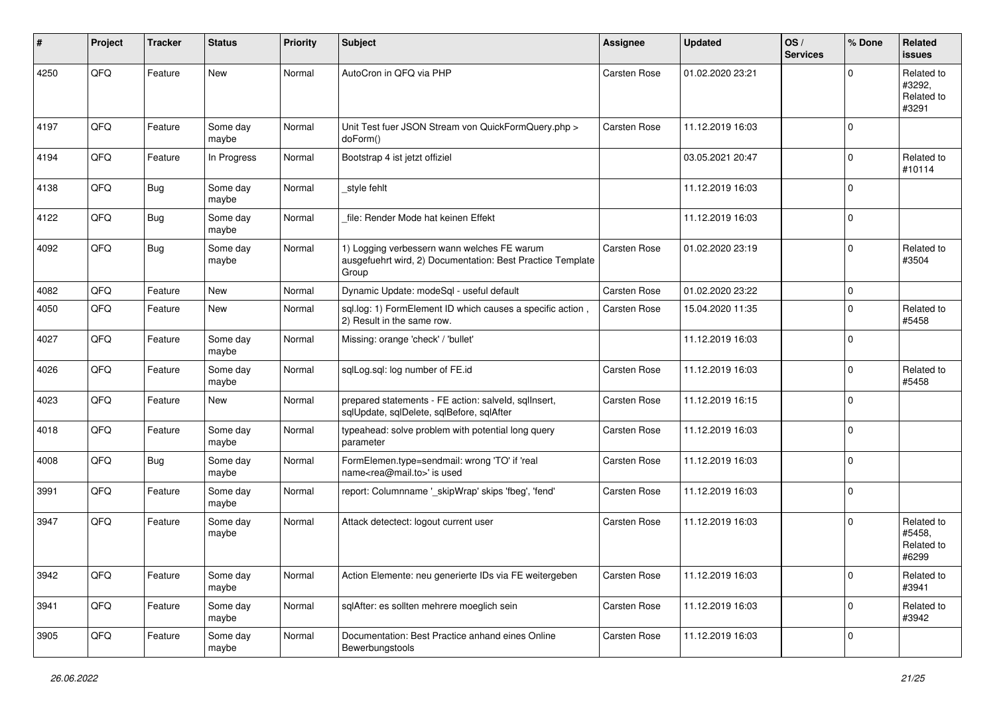| #    | Project | <b>Tracker</b> | <b>Status</b>     | <b>Priority</b> | Subject                                                                                                            | <b>Assignee</b>     | <b>Updated</b>   | OS/<br><b>Services</b> | % Done      | Related<br>issues                           |
|------|---------|----------------|-------------------|-----------------|--------------------------------------------------------------------------------------------------------------------|---------------------|------------------|------------------------|-------------|---------------------------------------------|
| 4250 | QFQ     | Feature        | New               | Normal          | AutoCron in QFQ via PHP                                                                                            | Carsten Rose        | 01.02.2020 23:21 |                        | $\Omega$    | Related to<br>#3292,<br>Related to<br>#3291 |
| 4197 | QFQ     | Feature        | Some day<br>maybe | Normal          | Unit Test fuer JSON Stream von QuickFormQuery.php ><br>doForm()                                                    | <b>Carsten Rose</b> | 11.12.2019 16:03 |                        | $\mathbf 0$ |                                             |
| 4194 | QFQ     | Feature        | In Progress       | Normal          | Bootstrap 4 ist jetzt offiziel                                                                                     |                     | 03.05.2021 20:47 |                        | $\mathbf 0$ | Related to<br>#10114                        |
| 4138 | QFQ     | <b>Bug</b>     | Some day<br>maybe | Normal          | style fehlt                                                                                                        |                     | 11.12.2019 16:03 |                        | 0           |                                             |
| 4122 | QFQ     | <b>Bug</b>     | Some day<br>maybe | Normal          | file: Render Mode hat keinen Effekt                                                                                |                     | 11.12.2019 16:03 |                        | $\mathbf 0$ |                                             |
| 4092 | QFQ     | <b>Bug</b>     | Some day<br>maybe | Normal          | 1) Logging verbessern wann welches FE warum<br>ausgefuehrt wird, 2) Documentation: Best Practice Template<br>Group | <b>Carsten Rose</b> | 01.02.2020 23:19 |                        | $\mathbf 0$ | Related to<br>#3504                         |
| 4082 | QFQ     | Feature        | <b>New</b>        | Normal          | Dynamic Update: modeSql - useful default                                                                           | <b>Carsten Rose</b> | 01.02.2020 23:22 |                        | $\mathbf 0$ |                                             |
| 4050 | QFQ     | Feature        | New               | Normal          | sql.log: 1) FormElement ID which causes a specific action,<br>2) Result in the same row.                           | Carsten Rose        | 15.04.2020 11:35 |                        | $\mathbf 0$ | Related to<br>#5458                         |
| 4027 | QFQ     | Feature        | Some day<br>maybe | Normal          | Missing: orange 'check' / 'bullet'                                                                                 |                     | 11.12.2019 16:03 |                        | $\Omega$    |                                             |
| 4026 | QFQ     | Feature        | Some day<br>maybe | Normal          | sqlLog.sql: log number of FE.id                                                                                    | <b>Carsten Rose</b> | 11.12.2019 16:03 |                        | $\mathbf 0$ | Related to<br>#5458                         |
| 4023 | QFQ     | Feature        | <b>New</b>        | Normal          | prepared statements - FE action: salveld, sqlInsert,<br>sqlUpdate, sqlDelete, sqlBefore, sqlAfter                  | Carsten Rose        | 11.12.2019 16:15 |                        | 0           |                                             |
| 4018 | QFQ     | Feature        | Some day<br>maybe | Normal          | typeahead: solve problem with potential long query<br>parameter                                                    | Carsten Rose        | 11.12.2019 16:03 |                        | $\mathbf 0$ |                                             |
| 4008 | QFQ     | <b>Bug</b>     | Some day<br>maybe | Normal          | FormElemen.type=sendmail: wrong 'TO' if 'real<br>name <rea@mail.to>' is used</rea@mail.to>                         | Carsten Rose        | 11.12.2019 16:03 |                        | $\mathbf 0$ |                                             |
| 3991 | QFQ     | Feature        | Some day<br>maybe | Normal          | report: Columnname '_skipWrap' skips 'fbeg', 'fend'                                                                | <b>Carsten Rose</b> | 11.12.2019 16:03 |                        | $\mathbf 0$ |                                             |
| 3947 | QFQ     | Feature        | Some day<br>maybe | Normal          | Attack detectect: logout current user                                                                              | Carsten Rose        | 11.12.2019 16:03 |                        | $\mathbf 0$ | Related to<br>#5458,<br>Related to<br>#6299 |
| 3942 | QFG     | Feature        | Some day<br>maybe | Normal          | Action Elemente: neu generierte IDs via FE weitergeben                                                             | Carsten Rose        | 11.12.2019 16:03 |                        | 0           | Related to<br>#3941                         |
| 3941 | QFQ     | Feature        | Some day<br>maybe | Normal          | sqlAfter: es sollten mehrere moeglich sein                                                                         | Carsten Rose        | 11.12.2019 16:03 |                        | 0           | Related to<br>#3942                         |
| 3905 | QFG     | Feature        | Some day<br>maybe | Normal          | Documentation: Best Practice anhand eines Online<br>Bewerbungstools                                                | Carsten Rose        | 11.12.2019 16:03 |                        | 0           |                                             |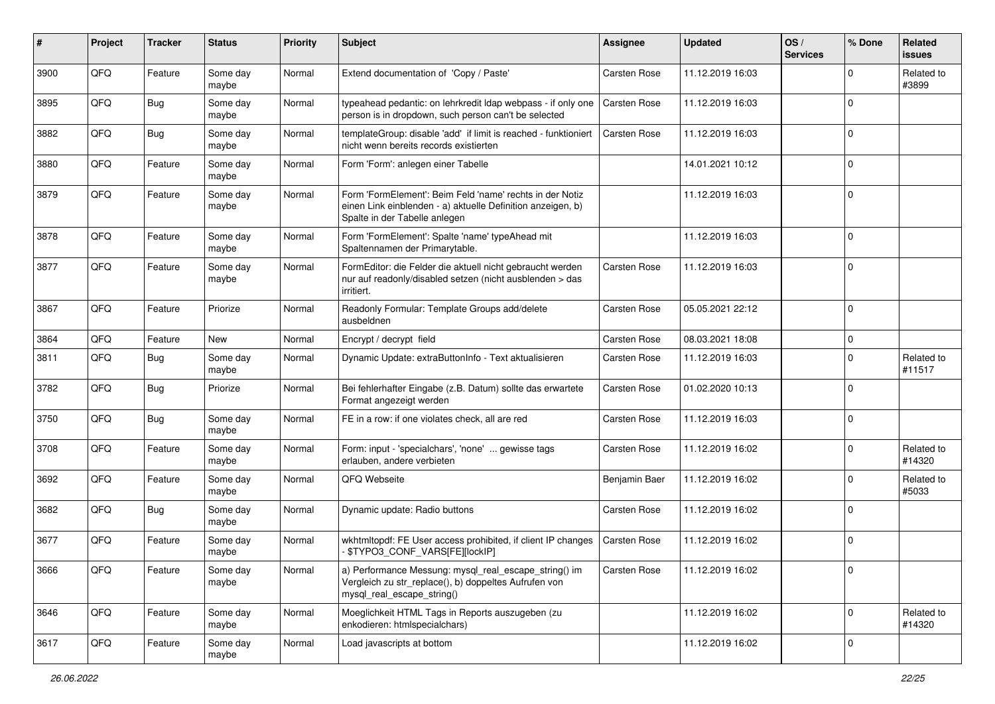| $\sharp$ | Project | <b>Tracker</b> | <b>Status</b>     | <b>Priority</b> | <b>Subject</b>                                                                                                                                           | <b>Assignee</b>     | <b>Updated</b>   | OS/<br><b>Services</b> | % Done       | Related<br><b>issues</b> |
|----------|---------|----------------|-------------------|-----------------|----------------------------------------------------------------------------------------------------------------------------------------------------------|---------------------|------------------|------------------------|--------------|--------------------------|
| 3900     | QFQ     | Feature        | Some day<br>maybe | Normal          | Extend documentation of 'Copy / Paste'                                                                                                                   | Carsten Rose        | 11.12.2019 16:03 |                        | $\Omega$     | Related to<br>#3899      |
| 3895     | QFQ     | Bug            | Some day<br>maybe | Normal          | typeahead pedantic: on lehrkredit Idap webpass - if only one<br>person is in dropdown, such person can't be selected                                     | <b>Carsten Rose</b> | 11.12.2019 16:03 |                        | $\mathbf 0$  |                          |
| 3882     | QFQ     | <b>Bug</b>     | Some day<br>maybe | Normal          | templateGroup: disable 'add' if limit is reached - funktioniert<br>nicht wenn bereits records existierten                                                | Carsten Rose        | 11.12.2019 16:03 |                        | $\Omega$     |                          |
| 3880     | QFQ     | Feature        | Some day<br>maybe | Normal          | Form 'Form': anlegen einer Tabelle                                                                                                                       |                     | 14.01.2021 10:12 |                        | $\mathbf 0$  |                          |
| 3879     | QFQ     | Feature        | Some day<br>maybe | Normal          | Form 'FormElement': Beim Feld 'name' rechts in der Notiz<br>einen Link einblenden - a) aktuelle Definition anzeigen, b)<br>Spalte in der Tabelle anlegen |                     | 11.12.2019 16:03 |                        | $\mathbf 0$  |                          |
| 3878     | QFQ     | Feature        | Some day<br>maybe | Normal          | Form 'FormElement': Spalte 'name' typeAhead mit<br>Spaltennamen der Primarytable.                                                                        |                     | 11.12.2019 16:03 |                        | $\Omega$     |                          |
| 3877     | QFQ     | Feature        | Some day<br>maybe | Normal          | FormEditor: die Felder die aktuell nicht gebraucht werden<br>nur auf readonly/disabled setzen (nicht ausblenden > das<br>irritiert.                      | Carsten Rose        | 11.12.2019 16:03 |                        | $\mathbf{0}$ |                          |
| 3867     | QFQ     | Feature        | Priorize          | Normal          | Readonly Formular: Template Groups add/delete<br>ausbeldnen                                                                                              | Carsten Rose        | 05.05.2021 22:12 |                        | l O          |                          |
| 3864     | QFQ     | Feature        | New               | Normal          | Encrypt / decrypt field                                                                                                                                  | Carsten Rose        | 08.03.2021 18:08 |                        | $\mathbf 0$  |                          |
| 3811     | QFQ     | <b>Bug</b>     | Some day<br>maybe | Normal          | Dynamic Update: extraButtonInfo - Text aktualisieren                                                                                                     | Carsten Rose        | 11.12.2019 16:03 |                        | $\mathbf 0$  | Related to<br>#11517     |
| 3782     | QFQ     | <b>Bug</b>     | Priorize          | Normal          | Bei fehlerhafter Eingabe (z.B. Datum) sollte das erwartete<br>Format angezeigt werden                                                                    | Carsten Rose        | 01.02.2020 10:13 |                        | $\Omega$     |                          |
| 3750     | QFQ     | Bug            | Some day<br>maybe | Normal          | FE in a row: if one violates check, all are red                                                                                                          | Carsten Rose        | 11.12.2019 16:03 |                        | $\Omega$     |                          |
| 3708     | QFQ     | Feature        | Some day<br>maybe | Normal          | Form: input - 'specialchars', 'none'  gewisse tags<br>erlauben, andere verbieten                                                                         | Carsten Rose        | 11.12.2019 16:02 |                        | $\Omega$     | Related to<br>#14320     |
| 3692     | QFQ     | Feature        | Some day<br>maybe | Normal          | QFQ Webseite                                                                                                                                             | Benjamin Baer       | 11.12.2019 16:02 |                        | $\Omega$     | Related to<br>#5033      |
| 3682     | QFQ     | Bug            | Some day<br>maybe | Normal          | Dynamic update: Radio buttons                                                                                                                            | Carsten Rose        | 11.12.2019 16:02 |                        | $\Omega$     |                          |
| 3677     | QFQ     | Feature        | Some day<br>maybe | Normal          | wkhtmltopdf: FE User access prohibited, if client IP changes<br>\$TYPO3_CONF_VARS[FE][lockIP]                                                            | Carsten Rose        | 11.12.2019 16:02 |                        | $\mathbf 0$  |                          |
| 3666     | QFQ     | Feature        | Some day<br>maybe | Normal          | a) Performance Messung: mysql_real_escape_string() im<br>Vergleich zu str_replace(), b) doppeltes Aufrufen von<br>mysql_real_escape_string()             | Carsten Rose        | 11.12.2019 16:02 |                        | l 0          |                          |
| 3646     | QFQ     | Feature        | Some day<br>maybe | Normal          | Moeglichkeit HTML Tags in Reports auszugeben (zu<br>enkodieren: htmlspecialchars)                                                                        |                     | 11.12.2019 16:02 |                        | l 0          | Related to<br>#14320     |
| 3617     | QFQ     | Feature        | Some day<br>maybe | Normal          | Load javascripts at bottom                                                                                                                               |                     | 11.12.2019 16:02 |                        | 0            |                          |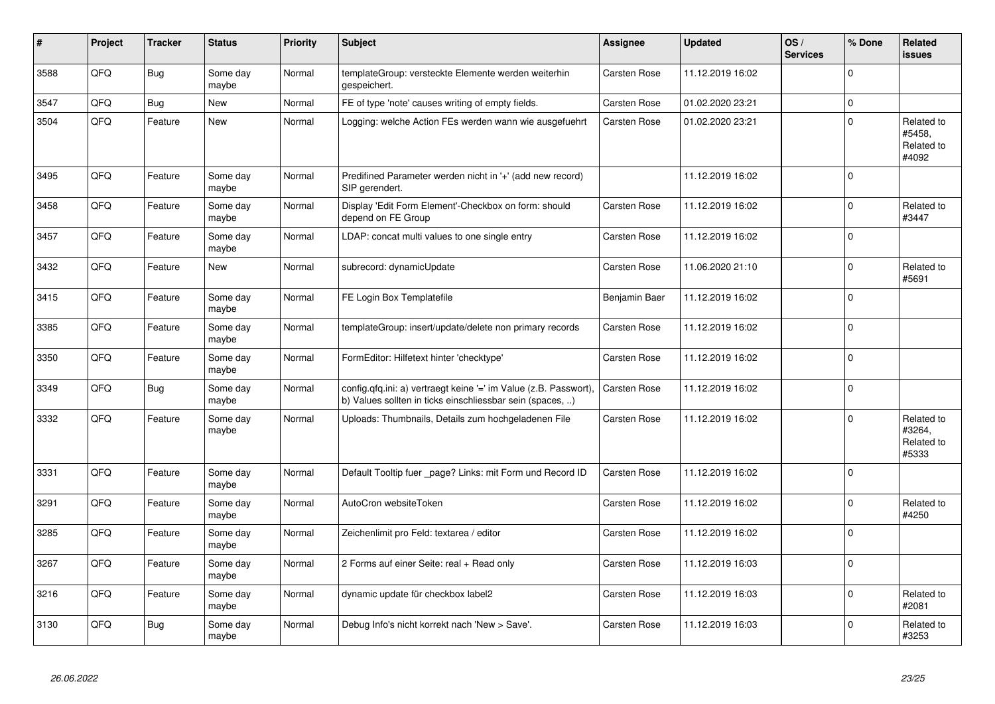| #    | Project | <b>Tracker</b> | <b>Status</b>     | <b>Priority</b> | <b>Subject</b>                                                                                                                | Assignee            | <b>Updated</b>   | OS/<br><b>Services</b> | % Done      | Related<br>issues                           |
|------|---------|----------------|-------------------|-----------------|-------------------------------------------------------------------------------------------------------------------------------|---------------------|------------------|------------------------|-------------|---------------------------------------------|
| 3588 | QFQ     | Bug            | Some day<br>maybe | Normal          | templateGroup: versteckte Elemente werden weiterhin<br>gespeichert.                                                           | <b>Carsten Rose</b> | 11.12.2019 16:02 |                        | $\Omega$    |                                             |
| 3547 | QFQ     | Bug            | <b>New</b>        | Normal          | FE of type 'note' causes writing of empty fields.                                                                             | <b>Carsten Rose</b> | 01.02.2020 23:21 |                        | $\mathbf 0$ |                                             |
| 3504 | QFQ     | Feature        | <b>New</b>        | Normal          | Logging: welche Action FEs werden wann wie ausgefuehrt                                                                        | Carsten Rose        | 01.02.2020 23:21 |                        | $\Omega$    | Related to<br>#5458.<br>Related to<br>#4092 |
| 3495 | QFQ     | Feature        | Some day<br>maybe | Normal          | Predifined Parameter werden nicht in '+' (add new record)<br>SIP gerendert.                                                   |                     | 11.12.2019 16:02 |                        | $\Omega$    |                                             |
| 3458 | QFQ     | Feature        | Some day<br>maybe | Normal          | Display 'Edit Form Element'-Checkbox on form: should<br>depend on FE Group                                                    | Carsten Rose        | 11.12.2019 16:02 |                        | $\Omega$    | Related to<br>#3447                         |
| 3457 | QFQ     | Feature        | Some day<br>maybe | Normal          | LDAP: concat multi values to one single entry                                                                                 | Carsten Rose        | 11.12.2019 16:02 |                        | $\Omega$    |                                             |
| 3432 | QFQ     | Feature        | <b>New</b>        | Normal          | subrecord: dynamicUpdate                                                                                                      | <b>Carsten Rose</b> | 11.06.2020 21:10 |                        | $\Omega$    | Related to<br>#5691                         |
| 3415 | QFQ     | Feature        | Some day<br>maybe | Normal          | FE Login Box Templatefile                                                                                                     | Benjamin Baer       | 11.12.2019 16:02 |                        | $\Omega$    |                                             |
| 3385 | QFQ     | Feature        | Some day<br>maybe | Normal          | templateGroup: insert/update/delete non primary records                                                                       | Carsten Rose        | 11.12.2019 16:02 |                        | $\mathbf 0$ |                                             |
| 3350 | QFQ     | Feature        | Some day<br>maybe | Normal          | FormEditor: Hilfetext hinter 'checktype'                                                                                      | Carsten Rose        | 11.12.2019 16:02 |                        | $\Omega$    |                                             |
| 3349 | QFQ     | Bug            | Some day<br>maybe | Normal          | config.qfq.ini: a) vertraegt keine '=' im Value (z.B. Passwort),<br>b) Values sollten in ticks einschliessbar sein (spaces, ) | <b>Carsten Rose</b> | 11.12.2019 16:02 |                        | $\Omega$    |                                             |
| 3332 | QFQ     | Feature        | Some day<br>maybe | Normal          | Uploads: Thumbnails, Details zum hochgeladenen File                                                                           | Carsten Rose        | 11.12.2019 16:02 |                        | $\Omega$    | Related to<br>#3264,<br>Related to<br>#5333 |
| 3331 | QFQ     | Feature        | Some day<br>maybe | Normal          | Default Tooltip fuer _page? Links: mit Form und Record ID                                                                     | <b>Carsten Rose</b> | 11.12.2019 16:02 |                        | $\Omega$    |                                             |
| 3291 | QFQ     | Feature        | Some day<br>maybe | Normal          | AutoCron websiteToken                                                                                                         | Carsten Rose        | 11.12.2019 16:02 |                        | $\Omega$    | Related to<br>#4250                         |
| 3285 | QFQ     | Feature        | Some day<br>maybe | Normal          | Zeichenlimit pro Feld: textarea / editor                                                                                      | Carsten Rose        | 11.12.2019 16:02 |                        | $\Omega$    |                                             |
| 3267 | QFQ     | Feature        | Some day<br>maybe | Normal          | 2 Forms auf einer Seite: real + Read only                                                                                     | Carsten Rose        | 11.12.2019 16:03 |                        | $\Omega$    |                                             |
| 3216 | QFQ     | Feature        | Some day<br>maybe | Normal          | dynamic update für checkbox label2                                                                                            | <b>Carsten Rose</b> | 11.12.2019 16:03 |                        | $\Omega$    | Related to<br>#2081                         |
| 3130 | QFQ     | <b>Bug</b>     | Some day<br>maybe | Normal          | Debug Info's nicht korrekt nach 'New > Save'.                                                                                 | Carsten Rose        | 11.12.2019 16:03 |                        | $\Omega$    | Related to<br>#3253                         |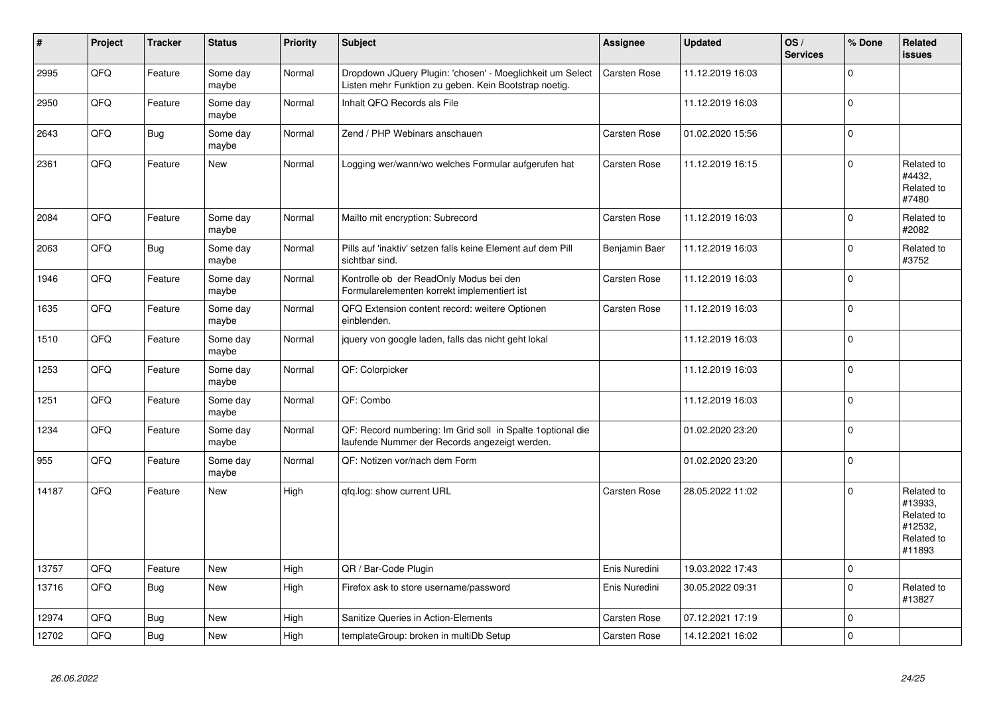| #     | Project | <b>Tracker</b> | <b>Status</b>     | <b>Priority</b> | <b>Subject</b>                                                                                                     | Assignee            | Updated          | OS/<br><b>Services</b> | % Done       | Related<br>issues                                                      |
|-------|---------|----------------|-------------------|-----------------|--------------------------------------------------------------------------------------------------------------------|---------------------|------------------|------------------------|--------------|------------------------------------------------------------------------|
| 2995  | QFQ     | Feature        | Some day<br>maybe | Normal          | Dropdown JQuery Plugin: 'chosen' - Moeglichkeit um Select<br>Listen mehr Funktion zu geben. Kein Bootstrap noetig. | Carsten Rose        | 11.12.2019 16:03 |                        | $\Omega$     |                                                                        |
| 2950  | QFQ     | Feature        | Some day<br>maybe | Normal          | Inhalt QFQ Records als File                                                                                        |                     | 11.12.2019 16:03 |                        | $\Omega$     |                                                                        |
| 2643  | QFQ     | <b>Bug</b>     | Some day<br>maybe | Normal          | Zend / PHP Webinars anschauen                                                                                      | <b>Carsten Rose</b> | 01.02.2020 15:56 |                        | $\Omega$     |                                                                        |
| 2361  | QFQ     | Feature        | <b>New</b>        | Normal          | Logging wer/wann/wo welches Formular aufgerufen hat                                                                | <b>Carsten Rose</b> | 11.12.2019 16:15 |                        | $\Omega$     | Related to<br>#4432,<br>Related to<br>#7480                            |
| 2084  | QFQ     | Feature        | Some day<br>maybe | Normal          | Mailto mit encryption: Subrecord                                                                                   | <b>Carsten Rose</b> | 11.12.2019 16:03 |                        | $\Omega$     | Related to<br>#2082                                                    |
| 2063  | QFQ     | Bug            | Some day<br>maybe | Normal          | Pills auf 'inaktiv' setzen falls keine Element auf dem Pill<br>sichtbar sind.                                      | Benjamin Baer       | 11.12.2019 16:03 |                        | $\Omega$     | Related to<br>#3752                                                    |
| 1946  | QFQ     | Feature        | Some day<br>maybe | Normal          | Kontrolle ob der ReadOnly Modus bei den<br>Formularelementen korrekt implementiert ist                             | Carsten Rose        | 11.12.2019 16:03 |                        | $\Omega$     |                                                                        |
| 1635  | QFQ     | Feature        | Some day<br>maybe | Normal          | QFQ Extension content record: weitere Optionen<br>einblenden.                                                      | <b>Carsten Rose</b> | 11.12.2019 16:03 |                        | $\mathbf 0$  |                                                                        |
| 1510  | QFQ     | Feature        | Some day<br>maybe | Normal          | jquery von google laden, falls das nicht geht lokal                                                                |                     | 11.12.2019 16:03 |                        | $\Omega$     |                                                                        |
| 1253  | QFQ     | Feature        | Some day<br>maybe | Normal          | QF: Colorpicker                                                                                                    |                     | 11.12.2019 16:03 |                        | $\Omega$     |                                                                        |
| 1251  | QFQ     | Feature        | Some day<br>maybe | Normal          | QF: Combo                                                                                                          |                     | 11.12.2019 16:03 |                        | $\Omega$     |                                                                        |
| 1234  | QFQ     | Feature        | Some day<br>maybe | Normal          | QF: Record numbering: Im Grid soll in Spalte 1optional die<br>laufende Nummer der Records angezeigt werden.        |                     | 01.02.2020 23:20 |                        | $\Omega$     |                                                                        |
| 955   | QFQ     | Feature        | Some day<br>maybe | Normal          | QF: Notizen vor/nach dem Form                                                                                      |                     | 01.02.2020 23:20 |                        | $\Omega$     |                                                                        |
| 14187 | QFQ     | Feature        | <b>New</b>        | High            | qfq.log: show current URL                                                                                          | <b>Carsten Rose</b> | 28.05.2022 11:02 |                        | $\Omega$     | Related to<br>#13933,<br>Related to<br>#12532,<br>Related to<br>#11893 |
| 13757 | QFQ     | Feature        | New               | High            | QR / Bar-Code Plugin                                                                                               | Enis Nuredini       | 19.03.2022 17:43 |                        | $\mathbf 0$  |                                                                        |
| 13716 | QFQ     | <b>Bug</b>     | <b>New</b>        | High            | Firefox ask to store username/password                                                                             | Enis Nuredini       | 30.05.2022 09:31 |                        | $\Omega$     | Related to<br>#13827                                                   |
| 12974 | QFQ     | Bug            | <b>New</b>        | High            | Sanitize Queries in Action-Elements                                                                                | <b>Carsten Rose</b> | 07.12.2021 17:19 |                        | $\Omega$     |                                                                        |
| 12702 | QFQ     | <b>Bug</b>     | New               | High            | templateGroup: broken in multiDb Setup                                                                             | <b>Carsten Rose</b> | 14.12.2021 16:02 |                        | $\mathbf{0}$ |                                                                        |